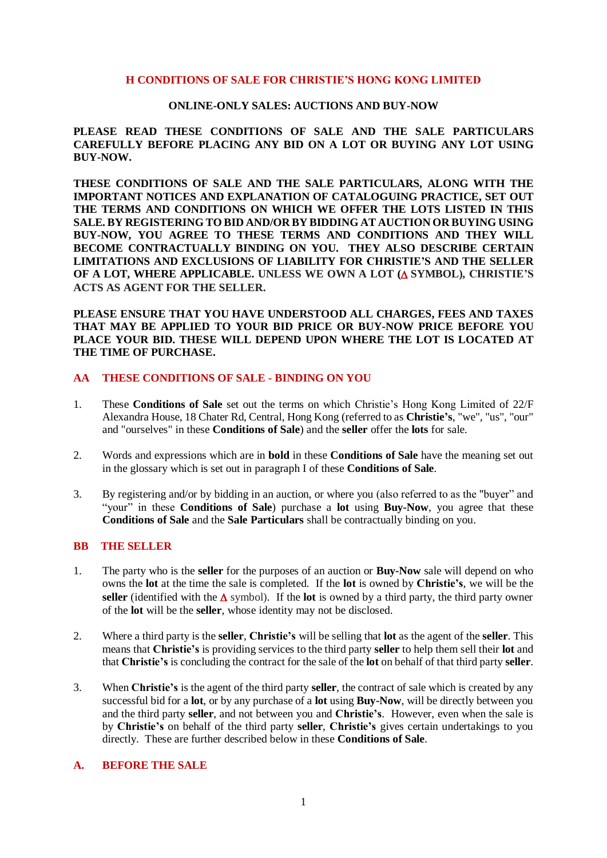#### **H CONDITIONS OF SALE FOR CHRISTIE'S HONG KONG LIMITED**

#### **ONLINE-ONLY SALES: AUCTIONS AND BUY-NOW**

# **PLEASE READ THESE CONDITIONS OF SALE AND THE SALE PARTICULARS CAREFULLY BEFORE PLACING ANY BID ON A LOT OR BUYING ANY LOT USING BUY-NOW.**

**THESE CONDITIONS OF SALE AND THE SALE PARTICULARS, ALONG WITH THE IMPORTANT NOTICES AND EXPLANATION OF CATALOGUING PRACTICE, SET OUT THE TERMS AND CONDITIONS ON WHICH WE OFFER THE LOTS LISTED IN THIS SALE. BY REGISTERING TO BID AND/OR BY BIDDING AT AUCTION OR BUYING USING BUY-NOW, YOU AGREE TO THESE TERMS AND CONDITIONS AND THEY WILL BECOME CONTRACTUALLY BINDING ON YOU. THEY ALSO DESCRIBE CERTAIN LIMITATIONS AND EXCLUSIONS OF LIABILITY FOR CHRISTIE'S AND THE SELLER OF A LOT, WHERE APPLICABLE. UNLESS WE OWN A LOT ( SYMBOL), CHRISTIE'S ACTS AS AGENT FOR THE SELLER.** 

**PLEASE ENSURE THAT YOU HAVE UNDERSTOOD ALL CHARGES, FEES AND TAXES THAT MAY BE APPLIED TO YOUR BID PRICE OR BUY-NOW PRICE BEFORE YOU PLACE YOUR BID. THESE WILL DEPEND UPON WHERE THE LOT IS LOCATED AT THE TIME OF PURCHASE.**

#### **AA THESE CONDITIONS OF SALE - BINDING ON YOU**

- 1. These **Conditions of Sale** set out the terms on which Christie's Hong Kong Limited of 22/F Alexandra House, 18 Chater Rd, Central, Hong Kong (referred to as **Christie's**, "we", "us", "our" and "ourselves" in these **Conditions of Sale**) and the **seller** offer the **lots** for sale.
- 2. Words and expressions which are in **bold** in these **Conditions of Sale** have the meaning set out in the glossary which is set out in paragraph I of these **Conditions of Sale**.
- 3. By registering and/or by bidding in an auction, or where you (also referred to as the "buyer" and "your" in these **Conditions of Sale**) purchase a **lot** using **Buy-Now**, you agree that these **Conditions of Sale** and the **Sale Particulars** shall be contractually binding on you.

# **BB THE SELLER**

- 1. The party who is the **seller** for the purposes of an auction or **Buy-Now** sale will depend on who owns the **lot** at the time the sale is completed. If the **lot** is owned by **Christie's**, we will be the **seller** (identified with the  $\Delta$  symbol). If the **lot** is owned by a third party, the third party owner of the **lot** will be the **seller**, whose identity may not be disclosed.
- 2. Where a third party is the **seller**, **Christie's** will be selling that **lot** as the agent of the **seller**. This means that **Christie's** is providing services to the third party **seller** to help them sell their **lot** and that **Christie's** is concluding the contract for the sale of the **lot** on behalf of that third party **seller**.
- 3. When **Christie's** is the agent of the third party **seller**, the contract of sale which is created by any successful bid for a **lot**, or by any purchase of a **lot** using **Buy-Now**, will be directly between you and the third party **seller**, and not between you and **Christie's**. However, even when the sale is by **Christie's** on behalf of the third party **seller**, **Christie's** gives certain undertakings to you directly. These are further described below in these **Conditions of Sale**.

# **A. BEFORE THE SALE**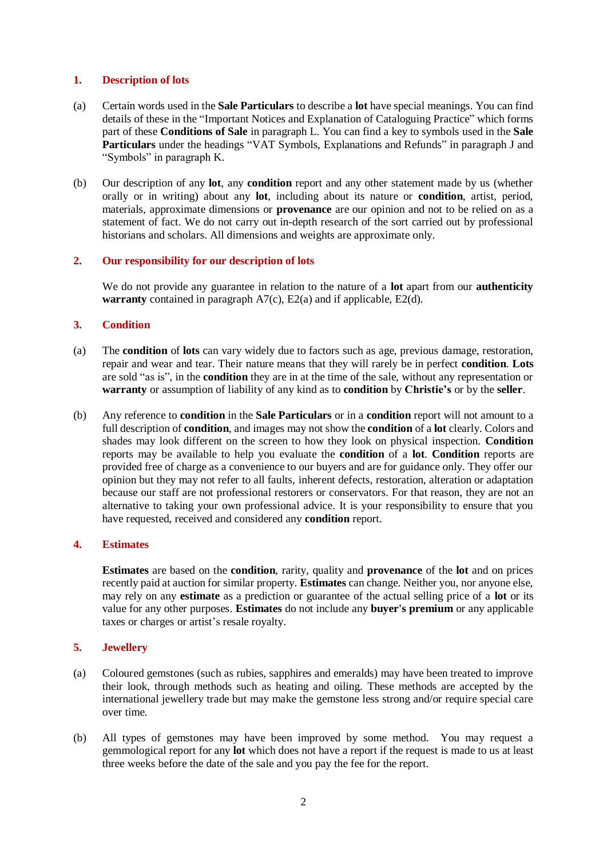# **1. Description of lots**

- (a) Certain words used in the **Sale Particulars** to describe a **lot** have special meanings. You can find details of these in the "Important Notices and Explanation of Cataloguing Practice" which forms part of these **Conditions of Sale** in paragraph L. You can find a key to symbols used in the **Sale Particulars** under the headings "VAT Symbols, Explanations and Refunds" in paragraph J and "Symbols" in paragraph K.
- (b) Our description of any **lot**, any **condition** report and any other statement made by us (whether orally or in writing) about any **lot**, including about its nature or **condition**, artist, period, materials, approximate dimensions or **provenance** are our opinion and not to be relied on as a statement of fact. We do not carry out in-depth research of the sort carried out by professional historians and scholars. All dimensions and weights are approximate only.

# **2. Our responsibility for our description of lots**

We do not provide any guarantee in relation to the nature of a **lot** apart from our **authenticity warranty** contained in paragraph A7(c), E2(a) and if applicable, E2(d).

# **3. Condition**

- (a) The **condition** of **lots** can vary widely due to factors such as age, previous damage, restoration, repair and wear and tear. Their nature means that they will rarely be in perfect **condition**. **Lots**  are sold "as is", in the **condition** they are in at the time of the sale, without any representation or **warranty** or assumption of liability of any kind as to **condition** by **Christie's** or by the **seller**.
- (b) Any reference to **condition** in the **Sale Particulars** or in a **condition** report will not amount to a full description of **condition**, and images may not show the **condition** of a **lot** clearly. Colors and shades may look different on the screen to how they look on physical inspection. **Condition**  reports may be available to help you evaluate the **condition** of a **lot**. **Condition** reports are provided free of charge as a convenience to our buyers and are for guidance only. They offer our opinion but they may not refer to all faults, inherent defects, restoration, alteration or adaptation because our staff are not professional restorers or conservators. For that reason, they are not an alternative to taking your own professional advice. It is your responsibility to ensure that you have requested, received and considered any **condition** report.

# **4. Estimates**

**Estimates** are based on the **condition**, rarity, quality and **provenance** of the **lot** and on prices recently paid at auction for similar property. **Estimates** can change. Neither you, nor anyone else, may rely on any **estimate** as a prediction or guarantee of the actual selling price of a **lot** or its value for any other purposes. **Estimates** do not include any **buyer's premium** or any applicable taxes or charges or artist's resale royalty.

## **5. Jewellery**

- (a) Coloured gemstones (such as rubies, sapphires and emeralds) may have been treated to improve their look, through methods such as heating and oiling. These methods are accepted by the international jewellery trade but may make the gemstone less strong and/or require special care over time.
- (b) All types of gemstones may have been improved by some method. You may request a gemmological report for any **lot** which does not have a report if the request is made to us at least three weeks before the date of the sale and you pay the fee for the report.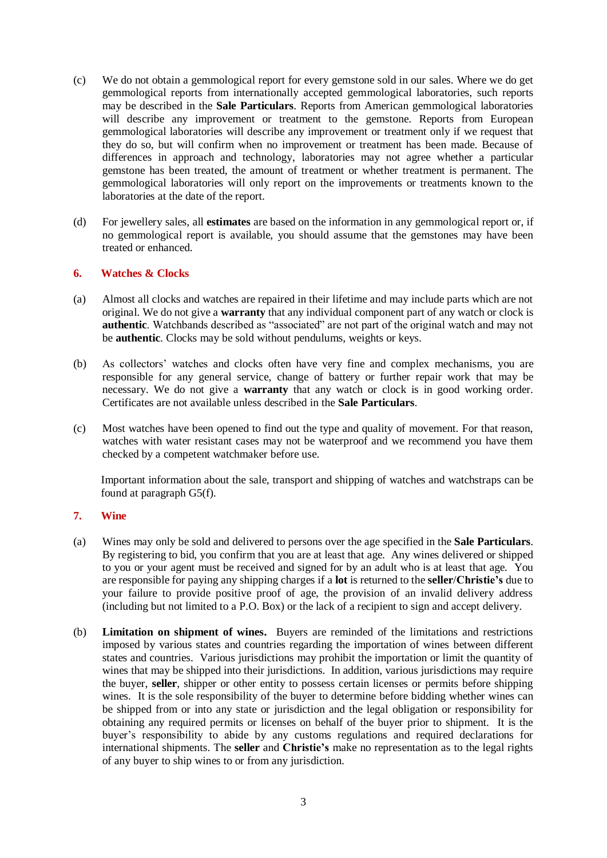- (c) We do not obtain a gemmological report for every gemstone sold in our sales. Where we do get gemmological reports from internationally accepted gemmological laboratories, such reports may be described in the **Sale Particulars**. Reports from American gemmological laboratories will describe any improvement or treatment to the gemstone. Reports from European gemmological laboratories will describe any improvement or treatment only if we request that they do so, but will confirm when no improvement or treatment has been made. Because of differences in approach and technology, laboratories may not agree whether a particular gemstone has been treated, the amount of treatment or whether treatment is permanent. The gemmological laboratories will only report on the improvements or treatments known to the laboratories at the date of the report.
- (d) For jewellery sales, all **estimates** are based on the information in any gemmological report or, if no gemmological report is available, you should assume that the gemstones may have been treated or enhanced.

## **6. Watches & Clocks**

- (a) Almost all clocks and watches are repaired in their lifetime and may include parts which are not original. We do not give a **warranty** that any individual component part of any watch or clock is **authentic**. Watchbands described as "associated" are not part of the original watch and may not be **authentic**. Clocks may be sold without pendulums, weights or keys.
- (b) As collectors' watches and clocks often have very fine and complex mechanisms, you are responsible for any general service, change of battery or further repair work that may be necessary. We do not give a **warranty** that any watch or clock is in good working order. Certificates are not available unless described in the **Sale Particulars**.
- (c) Most watches have been opened to find out the type and quality of movement. For that reason, watches with water resistant cases may not be waterproof and we recommend you have them checked by a competent watchmaker before use.

Important information about the sale, transport and shipping of watches and watchstraps can be found at paragraph G5(f).

## **7. Wine**

- (a) Wines may only be sold and delivered to persons over the age specified in the **Sale Particulars**. By registering to bid, you confirm that you are at least that age. Any wines delivered or shipped to you or your agent must be received and signed for by an adult who is at least that age. You are responsible for paying any shipping charges if a **lot** is returned to the **seller**/**Christie's** due to your failure to provide positive proof of age, the provision of an invalid delivery address (including but not limited to a P.O. Box) or the lack of a recipient to sign and accept delivery.
- (b) **Limitation on shipment of wines.** Buyers are reminded of the limitations and restrictions imposed by various states and countries regarding the importation of wines between different states and countries. Various jurisdictions may prohibit the importation or limit the quantity of wines that may be shipped into their jurisdictions. In addition, various jurisdictions may require the buyer, **seller**, shipper or other entity to possess certain licenses or permits before shipping wines. It is the sole responsibility of the buyer to determine before bidding whether wines can be shipped from or into any state or jurisdiction and the legal obligation or responsibility for obtaining any required permits or licenses on behalf of the buyer prior to shipment. It is the buyer's responsibility to abide by any customs regulations and required declarations for international shipments. The **seller** and **Christie's** make no representation as to the legal rights of any buyer to ship wines to or from any jurisdiction.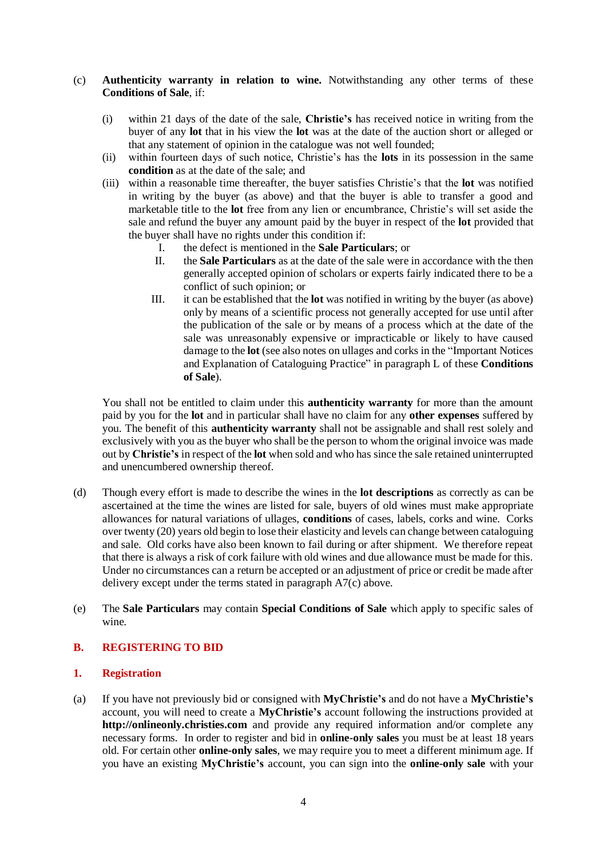#### (c) **Authenticity warranty in relation to wine.** Notwithstanding any other terms of these **Conditions of Sale**, if:

- (i) within 21 days of the date of the sale, **Christie's** has received notice in writing from the buyer of any **lot** that in his view the **lot** was at the date of the auction short or alleged or that any statement of opinion in the catalogue was not well founded;
- (ii) within fourteen days of such notice, Christie's has the **lots** in its possession in the same **condition** as at the date of the sale; and
- (iii) within a reasonable time thereafter, the buyer satisfies Christie's that the **lot** was notified in writing by the buyer (as above) and that the buyer is able to transfer a good and marketable title to the **lot** free from any lien or encumbrance, Christie's will set aside the sale and refund the buyer any amount paid by the buyer in respect of the **lot** provided that the buyer shall have no rights under this condition if:
	- I. the defect is mentioned in the **Sale Particulars**; or
	- II. the **Sale Particulars** as at the date of the sale were in accordance with the then generally accepted opinion of scholars or experts fairly indicated there to be a conflict of such opinion; or
	- III. it can be established that the **lot** was notified in writing by the buyer (as above) only by means of a scientific process not generally accepted for use until after the publication of the sale or by means of a process which at the date of the sale was unreasonably expensive or impracticable or likely to have caused damage to the **lot** (see also notes on ullages and corks in the "Important Notices and Explanation of Cataloguing Practice" in paragraph L of these **Conditions of Sale**).

You shall not be entitled to claim under this **authenticity warranty** for more than the amount paid by you for the **lot** and in particular shall have no claim for any **other expenses** suffered by you. The benefit of this **authenticity warranty** shall not be assignable and shall rest solely and exclusively with you as the buyer who shall be the person to whom the original invoice was made out by **Christie's** in respect of the **lot** when sold and who has since the sale retained uninterrupted and unencumbered ownership thereof.

- (d) Though every effort is made to describe the wines in the **lot descriptions** as correctly as can be ascertained at the time the wines are listed for sale, buyers of old wines must make appropriate allowances for natural variations of ullages, **conditions** of cases, labels, corks and wine. Corks over twenty (20) years old begin to lose their elasticity and levels can change between cataloguing and sale. Old corks have also been known to fail during or after shipment. We therefore repeat that there is always a risk of cork failure with old wines and due allowance must be made for this. Under no circumstances can a return be accepted or an adjustment of price or credit be made after delivery except under the terms stated in paragraph A7(c) above.
- (e) The **Sale Particulars** may contain **Special Conditions of Sale** which apply to specific sales of wine.

## **B. REGISTERING TO BID**

## **1. Registration**

(a) If you have not previously bid or consigned with **MyChristie's** and do not have a **MyChristie's** account, you will need to create a **MyChristie's** account following the instructions provided at **[http://onlineonly.christies.com](http://www.onlineonly.christies.com/)** and provide any required information and/or complete any necessary forms. In order to register and bid in **online-only sales** you must be at least 18 years old. For certain other **online-only sales**, we may require you to meet a different minimum age. If you have an existing **MyChristie's** account, you can sign into the **online-only sale** with your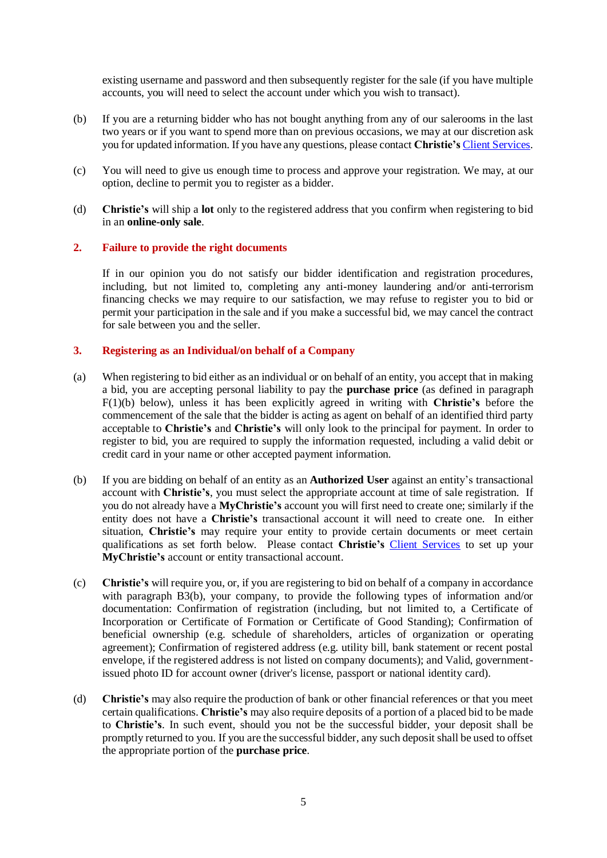existing username and password and then subsequently register for the sale (if you have multiple accounts, you will need to select the account under which you wish to transact).

- (b) If you are a returning bidder who has not bought anything from any of our salerooms in the last two years or if you want to spend more than on previous occasions, we may at our discretion ask you for updated information. If you have any questions, please contact **Christie's** [Client Services.](http://www.christies.com/about-us/contact/client-services/)
- (c) You will need to give us enough time to process and approve your registration. We may, at our option, decline to permit you to register as a bidder.
- (d) **Christie's** will ship a **lot** only to the registered address that you confirm when registering to bid in an **online-only sale**.

## **2. Failure to provide the right documents**

If in our opinion you do not satisfy our bidder identification and registration procedures, including, but not limited to, completing any anti-money laundering and/or anti-terrorism financing checks we may require to our satisfaction, we may refuse to register you to bid or permit your participation in the sale and if you make a successful bid, we may cancel the contract for sale between you and the seller.

#### **3. Registering as an Individual/on behalf of a Company**

- (a) When registering to bid either as an individual or on behalf of an entity, you accept that in making a bid, you are accepting personal liability to pay the **purchase price** (as defined in paragraph F(1)(b) below), unless it has been explicitly agreed in writing with **Christie's** before the commencement of the sale that the bidder is acting as agent on behalf of an identified third party acceptable to **Christie's** and **Christie's** will only look to the principal for payment. In order to register to bid, you are required to supply the information requested, including a valid debit or credit card in your name or other accepted payment information.
- (b) If you are bidding on behalf of an entity as an **Authorized User** against an entity's transactional account with **Christie's**, you must select the appropriate account at time of sale registration. If you do not already have a **MyChristie's** account you will first need to create one; similarly if the entity does not have a **Christie's** transactional account it will need to create one. In either situation, **Christie's** may require your entity to provide certain documents or meet certain qualifications as set forth below. Please contact **Christie's** [Client Services](http://www.christies.com/about-us/contact/client-services/) to set up your **MyChristie's** account or entity transactional account.
- (c) **Christie's** will require you, or, if you are registering to bid on behalf of a company in accordance with paragraph B3(b), your company, to provide the following types of information and/or documentation: Confirmation of registration (including, but not limited to, a Certificate of Incorporation or Certificate of Formation or Certificate of Good Standing); Confirmation of beneficial ownership (e.g. schedule of shareholders, articles of organization or operating agreement); Confirmation of registered address (e.g. utility bill, bank statement or recent postal envelope, if the registered address is not listed on company documents); and Valid, governmentissued photo ID for account owner (driver's license, passport or national identity card).
- (d) **Christie's** may also require the production of bank or other financial references or that you meet certain qualifications. **Christie's** may also require deposits of a portion of a placed bid to be made to **Christie's**. In such event, should you not be the successful bidder, your deposit shall be promptly returned to you. If you are the successful bidder, any such deposit shall be used to offset the appropriate portion of the **purchase price**.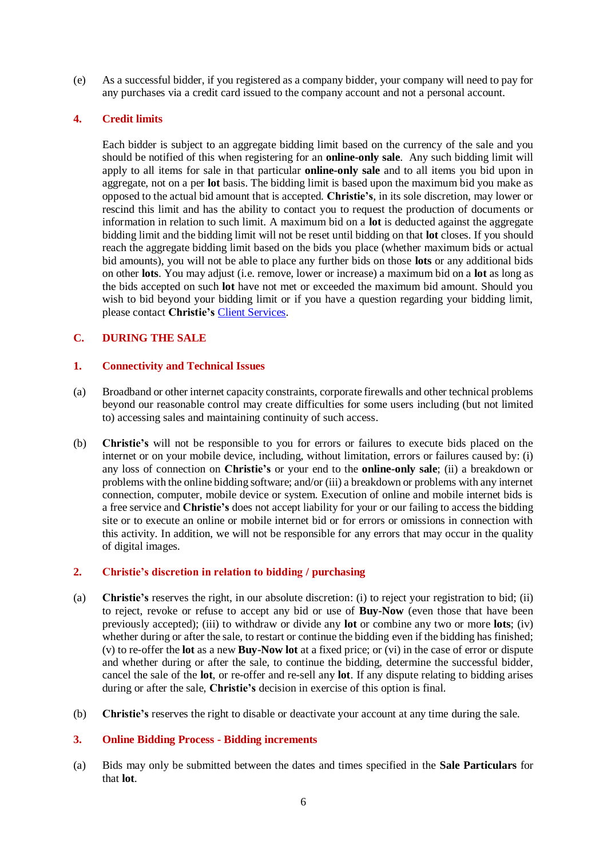(e) As a successful bidder, if you registered as a company bidder, your company will need to pay for any purchases via a credit card issued to the company account and not a personal account.

# **4. Credit limits**

Each bidder is subject to an aggregate bidding limit based on the currency of the sale and you should be notified of this when registering for an **online-only sale**. Any such bidding limit will apply to all items for sale in that particular **online-only sale** and to all items you bid upon in aggregate, not on a per **lot** basis. The bidding limit is based upon the maximum bid you make as opposed to the actual bid amount that is accepted. **Christie's**, in its sole discretion, may lower or rescind this limit and has the ability to contact you to request the production of documents or information in relation to such limit. A maximum bid on a **lot** is deducted against the aggregate bidding limit and the bidding limit will not be reset until bidding on that **lot** closes. If you should reach the aggregate bidding limit based on the bids you place (whether maximum bids or actual bid amounts), you will not be able to place any further bids on those **lots** or any additional bids on other **lots**. You may adjust (i.e. remove, lower or increase) a maximum bid on a **lot** as long as the bids accepted on such **lot** have not met or exceeded the maximum bid amount. Should you wish to bid beyond your bidding limit or if you have a question regarding your bidding limit, please contact **Christie's** [Client Services.](http://www.christies.com/about-us/contact/client-services/)

# **C. DURING THE SALE**

## **1. Connectivity and Technical Issues**

- (a) Broadband or other internet capacity constraints, corporate firewalls and other technical problems beyond our reasonable control may create difficulties for some users including (but not limited to) accessing sales and maintaining continuity of such access.
- (b) **Christie's** will not be responsible to you for errors or failures to execute bids placed on the internet or on your mobile device, including, without limitation, errors or failures caused by: (i) any loss of connection on **Christie's** or your end to the **online-only sale**; (ii) a breakdown or problems with the online bidding software; and/or (iii) a breakdown or problems with any internet connection, computer, mobile device or system. Execution of online and mobile internet bids is a free service and **Christie's** does not accept liability for your or our failing to access the bidding site or to execute an online or mobile internet bid or for errors or omissions in connection with this activity. In addition, we will not be responsible for any errors that may occur in the quality of digital images.

## **2. Christie's discretion in relation to bidding / purchasing**

- (a) **Christie's** reserves the right, in our absolute discretion: (i) to reject your registration to bid; (ii) to reject, revoke or refuse to accept any bid or use of **Buy-Now** (even those that have been previously accepted); (iii) to withdraw or divide any **lot** or combine any two or more **lots**; (iv) whether during or after the sale, to restart or continue the bidding even if the bidding has finished; (v) to re-offer the **lot** as a new **Buy-Now lot** at a fixed price; or (vi) in the case of error or dispute and whether during or after the sale, to continue the bidding, determine the successful bidder, cancel the sale of the **lot**, or re-offer and re-sell any **lot**. If any dispute relating to bidding arises during or after the sale, **Christie's** decision in exercise of this option is final.
- (b) **Christie's** reserves the right to disable or deactivate your account at any time during the sale.

## **3. Online Bidding Process - Bidding increments**

(a) Bids may only be submitted between the dates and times specified in the **Sale Particulars** for that **lot**.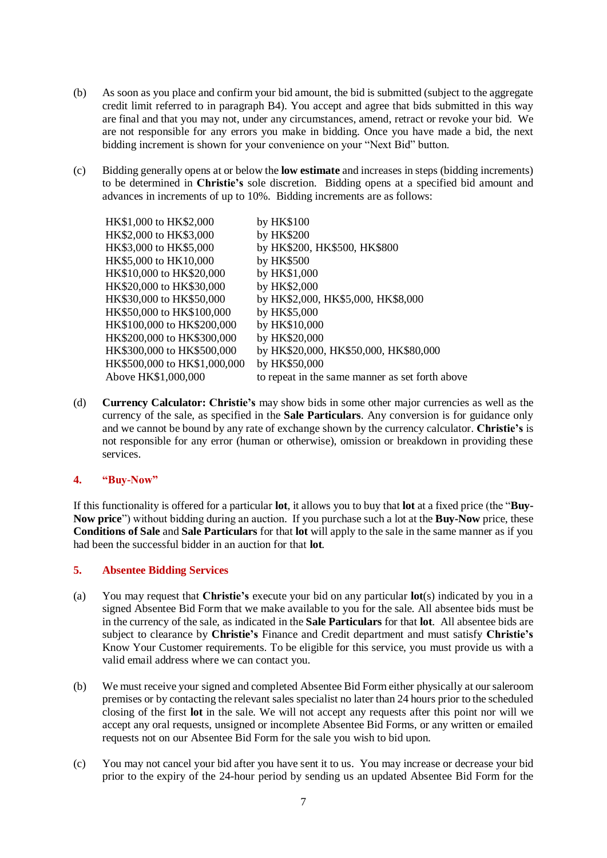- (b) As soon as you place and confirm your bid amount, the bid is submitted (subject to the aggregate credit limit referred to in paragraph B4). You accept and agree that bids submitted in this way are final and that you may not, under any circumstances, amend, retract or revoke your bid. We are not responsible for any errors you make in bidding. Once you have made a bid, the next bidding increment is shown for your convenience on your "Next Bid" button.
- (c) Bidding generally opens at or below the **low estimate** and increases in steps (bidding increments) to be determined in **Christie's** sole discretion. Bidding opens at a specified bid amount and advances in increments of up to 10%. Bidding increments are as follows:

| HK\$1,000 to HK\$2,000       | by HK\$100                                      |
|------------------------------|-------------------------------------------------|
| HK\$2,000 to HK\$3,000       | by HK\$200                                      |
| HK\$3,000 to HK\$5,000       | by HK\$200, HK\$500, HK\$800                    |
| HK\$5,000 to HK10,000        | by HK\$500                                      |
| HK\$10,000 to HK\$20,000     | by HK\$1,000                                    |
| HK\$20,000 to HK\$30,000     | by HK\$2,000                                    |
| HK\$30,000 to HK\$50,000     | by HK\$2,000, HK\$5,000, HK\$8,000              |
| HK\$50,000 to HK\$100,000    | by HK\$5,000                                    |
| HK\$100,000 to HK\$200,000   | by HK\$10,000                                   |
| HK\$200,000 to HK\$300,000   | by HK\$20,000                                   |
| HK\$300,000 to HK\$500,000   | by HK\$20,000, HK\$50,000, HK\$80,000           |
| HK\$500,000 to HK\$1,000,000 | by HK\$50,000                                   |
| Above HK\$1,000,000          | to repeat in the same manner as set forth above |
|                              |                                                 |

(d) **Currency Calculator: Christie's** may show bids in some other major currencies as well as the currency of the sale, as specified in the **Sale Particulars**. Any conversion is for guidance only and we cannot be bound by any rate of exchange shown by the currency calculator. **Christie's** is not responsible for any error (human or otherwise), omission or breakdown in providing these services.

## **4. "Buy-Now"**

If this functionality is offered for a particular **lot**, it allows you to buy that **lot** at a fixed price (the "**Buy-Now price**") without bidding during an auction. If you purchase such a lot at the **Buy-Now** price, these **Conditions of Sale** and **Sale Particulars** for that **lot** will apply to the sale in the same manner as if you had been the successful bidder in an auction for that **lot**.

## **5. Absentee Bidding Services**

- (a) You may request that **Christie's** execute your bid on any particular **lot**(s) indicated by you in a signed Absentee Bid Form that we make available to you for the sale. All absentee bids must be in the currency of the sale, as indicated in the **Sale Particulars** for that **lot**. All absentee bids are subject to clearance by **Christie's** Finance and Credit department and must satisfy **Christie's** Know Your Customer requirements. To be eligible for this service, you must provide us with a valid email address where we can contact you.
- (b) We must receive your signed and completed Absentee Bid Form either physically at our saleroom premises or by contacting the relevant sales specialist no later than 24 hours prior to the scheduled closing of the first **lot** in the sale. We will not accept any requests after this point nor will we accept any oral requests, unsigned or incomplete Absentee Bid Forms, or any written or emailed requests not on our Absentee Bid Form for the sale you wish to bid upon.
- (c) You may not cancel your bid after you have sent it to us. You may increase or decrease your bid prior to the expiry of the 24-hour period by sending us an updated Absentee Bid Form for the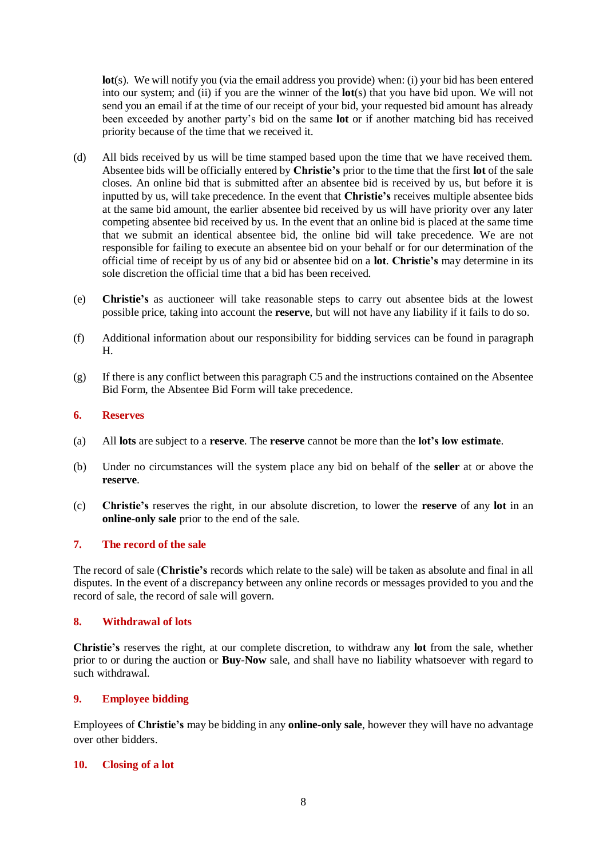**lot**(s). We will notify you (via the email address you provide) when: (i) your bid has been entered into our system; and (ii) if you are the winner of the **lot**(s) that you have bid upon. We will not send you an email if at the time of our receipt of your bid, your requested bid amount has already been exceeded by another party's bid on the same **lot** or if another matching bid has received priority because of the time that we received it.

- (d) All bids received by us will be time stamped based upon the time that we have received them. Absentee bids will be officially entered by **Christie's** prior to the time that the first **lot** of the sale closes. An online bid that is submitted after an absentee bid is received by us, but before it is inputted by us, will take precedence. In the event that **Christie's** receives multiple absentee bids at the same bid amount, the earlier absentee bid received by us will have priority over any later competing absentee bid received by us. In the event that an online bid is placed at the same time that we submit an identical absentee bid, the online bid will take precedence. We are not responsible for failing to execute an absentee bid on your behalf or for our determination of the official time of receipt by us of any bid or absentee bid on a **lot**. **Christie's** may determine in its sole discretion the official time that a bid has been received.
- (e) **Christie's** as auctioneer will take reasonable steps to carry out absentee bids at the lowest possible price, taking into account the **reserve**, but will not have any liability if it fails to do so.
- (f) Additional information about our responsibility for bidding services can be found in paragraph H.
- $(g)$  If there is any conflict between this paragraph C5 and the instructions contained on the Absentee Bid Form, the Absentee Bid Form will take precedence.

## **6. Reserves**

- (a) All **lots** are subject to a **reserve**. The **reserve** cannot be more than the **lot's low estimate**.
- (b) Under no circumstances will the system place any bid on behalf of the **seller** at or above the **reserve**.
- (c) **Christie's** reserves the right, in our absolute discretion, to lower the **reserve** of any **lot** in an **online-only sale** prior to the end of the sale.

## **7. The record of the sale**

The record of sale (**Christie's** records which relate to the sale) will be taken as absolute and final in all disputes. In the event of a discrepancy between any online records or messages provided to you and the record of sale, the record of sale will govern.

#### **8. Withdrawal of lots**

**Christie's** reserves the right, at our complete discretion, to withdraw any **lot** from the sale, whether prior to or during the auction or **Buy-Now** sale, and shall have no liability whatsoever with regard to such withdrawal.

## **9. Employee bidding**

Employees of **Christie's** may be bidding in any **online-only sale**, however they will have no advantage over other bidders.

#### **10. Closing of a lot**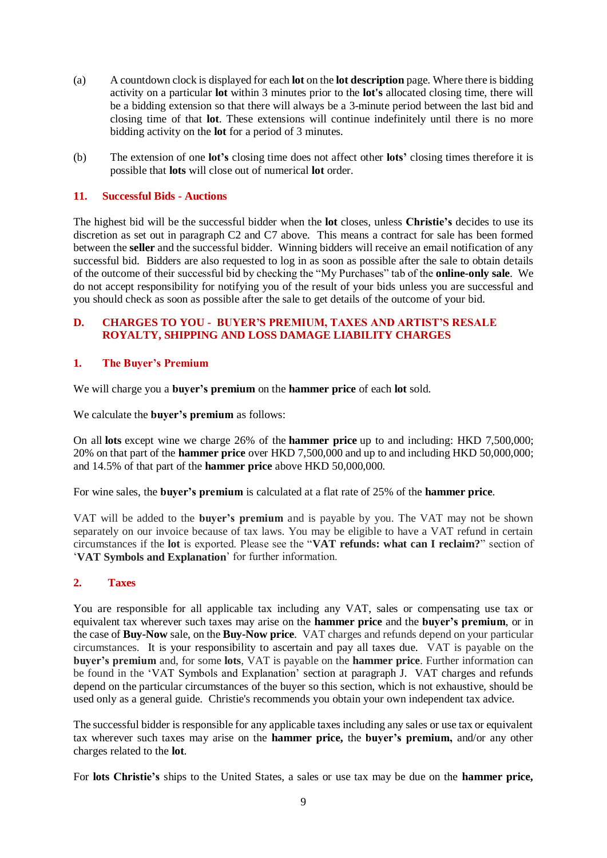- (a) A countdown clock is displayed for each **lot** on the **lot description** page. Where there is bidding activity on a particular **lot** within 3 minutes prior to the **lot's** allocated closing time, there will be a bidding extension so that there will always be a 3-minute period between the last bid and closing time of that **lot**. These extensions will continue indefinitely until there is no more bidding activity on the **lot** for a period of 3 minutes.
- (b) The extension of one **lot's** closing time does not affect other **lots'** closing times therefore it is possible that **lots** will close out of numerical **lot** order.

## **11. Successful Bids - Auctions**

The highest bid will be the successful bidder when the **lot** closes, unless **Christie's** decides to use its discretion as set out in paragraph C2 and C7 above. This means a contract for sale has been formed between the **seller** and the successful bidder. Winning bidders will receive an email notification of any successful bid. Bidders are also requested to log in as soon as possible after the sale to obtain details of the outcome of their successful bid by checking the "My Purchases" tab of the **online-only sale**. We do not accept responsibility for notifying you of the result of your bids unless you are successful and you should check as soon as possible after the sale to get details of the outcome of your bid.

# **D. CHARGES TO YOU - BUYER'S PREMIUM, TAXES AND ARTIST'S RESALE ROYALTY, SHIPPING AND LOSS DAMAGE LIABILITY CHARGES**

# **1. The Buyer's Premium**

We will charge you a **buyer's premium** on the **hammer price** of each **lot** sold.

We calculate the **buyer's premium** as follows:

On all **lots** except wine we charge 26% of the **hammer price** up to and including: HKD 7,500,000; 20% on that part of the **hammer price** over HKD 7,500,000 and up to and including HKD 50,000,000; and 14.5% of that part of the **hammer price** above HKD 50,000,000.

For wine sales, the **buyer's premium** is calculated at a flat rate of 25% of the **hammer price**.

VAT will be added to the **buyer's premium** and is payable by you. The VAT may not be shown separately on our invoice because of tax laws. You may be eligible to have a VAT refund in certain circumstances if the **lot** is exported. Please see the "**VAT refunds: what can I reclaim?**" section of '**VAT Symbols and Explanation**' for further information.

## **2. Taxes**

You are responsible for all applicable tax including any VAT, sales or compensating use tax or equivalent tax wherever such taxes may arise on the **hammer price** and the **buyer's premium**, or in the case of **Buy-Now** sale, on the **Buy-Now price**. VAT charges and refunds depend on your particular circumstances. It is your responsibility to ascertain and pay all taxes due. VAT is payable on the **buyer's premium** and, for some **lots**, VAT is payable on the **hammer price**. Further information can be found in the 'VAT Symbols and Explanation' section at paragraph J. VAT charges and refunds depend on the particular circumstances of the buyer so this section, which is not exhaustive, should be used only as a general guide. Christie's recommends you obtain your own independent tax advice.

The successful bidder is responsible for any applicable taxes including any sales or use tax or equivalent tax wherever such taxes may arise on the **hammer price,** the **buyer's premium,** and/or any other charges related to the **lot**.

For **lots Christie's** ships to the United States, a sales or use tax may be due on the **hammer price,**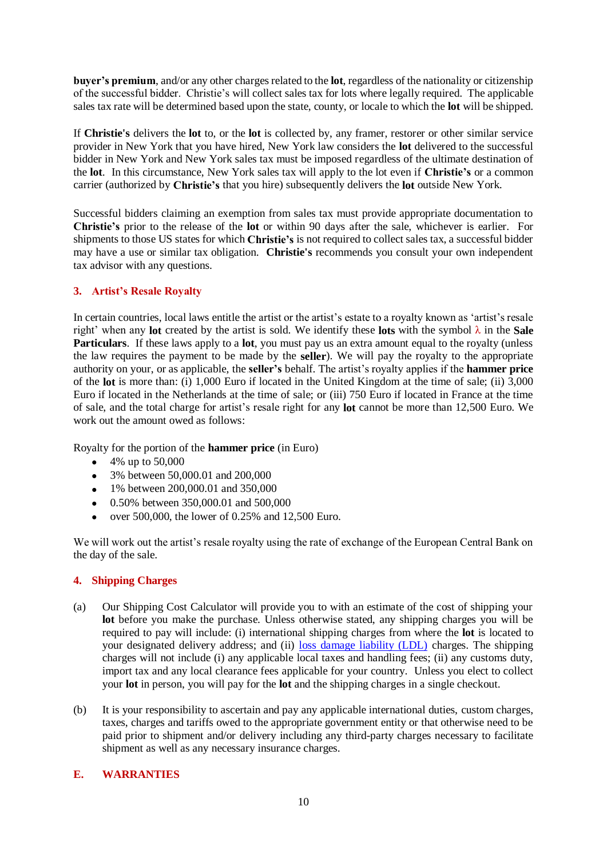**buyer's premium**, and/or any other charges related to the **lot**, regardless of the nationality or citizenship of the successful bidder. Christie's will collect sales tax for lots where legally required. The applicable sales tax rate will be determined based upon the state, county, or locale to which the **lot** will be shipped.

If **Christie's** delivers the **lot** to, or the **lot** is collected by, any framer, restorer or other similar service provider in New York that you have hired, New York law considers the **lot** delivered to the successful bidder in New York and New York sales tax must be imposed regardless of the ultimate destination of the **lot**. In this circumstance, New York sales tax will apply to the lot even if **Christie's** or a common carrier (authorized by **Christie's** that you hire) subsequently delivers the **lot** outside New York.

Successful bidders claiming an exemption from sales tax must provide appropriate documentation to **Christie's** prior to the release of the **lot** or within 90 days after the sale, whichever is earlier. For shipments to those US states for which **Christie's** is not required to collect sales tax, a successful bidder may have a use or similar tax obligation. **Christie's** recommends you consult your own independent tax advisor with any questions.

# **3. Artist's Resale Royalty**

In certain countries, local laws entitle the artist or the artist's estate to a royalty known as 'artist's resale right' when any **lot** created by the artist is sold. We identify these **lots** with the symbol λ in the **Sale Particulars**. If these laws apply to a **lot**, you must pay us an extra amount equal to the royalty (unless the law requires the payment to be made by the **seller**). We will pay the royalty to the appropriate authority on your, or as applicable, the **seller's** behalf. The artist's royalty applies if the **hammer price** of the **lot** is more than: (i) 1,000 Euro if located in the United Kingdom at the time of sale; (ii) 3,000 Euro if located in the Netherlands at the time of sale; or (iii) 750 Euro if located in France at the time of sale, and the total charge for artist's resale right for any **lot** cannot be more than 12,500 Euro. We work out the amount owed as follows:

Royalty for the portion of the **hammer price** (in Euro)

- 4% up to  $50,000$
- 3% between 50,000.01 and 200,000
- 1% between 200,000.01 and 350,000
- 0.50% between 350,000.01 and 500,000
- over 500,000, the lower of 0.25% and 12,500 Euro.

We will work out the artist's resale royalty using the rate of exchange of the European Central Bank on the day of the sale.

# **4. Shipping Charges**

- (a) Our Shipping Cost Calculator will provide you to with an estimate of the cost of shipping your **lot** before you make the purchase. Unless otherwise stated, any shipping charges you will be required to pay will include: (i) international shipping charges from where the **lot** is located to your designated delivery address; and (ii) [loss damage liability \(LDL\)](http://www.christies.com/selling-services/selling-guide/financial-information/#Liability-Terms-Conditions) charges. The shipping charges will not include (i) any applicable local taxes and handling fees; (ii) any customs duty, import tax and any local clearance fees applicable for your country. Unless you elect to collect your **lot** in person, you will pay for the **lot** and the shipping charges in a single checkout.
- (b) It is your responsibility to ascertain and pay any applicable international duties, custom charges, taxes, charges and tariffs owed to the appropriate government entity or that otherwise need to be paid prior to shipment and/or delivery including any third-party charges necessary to facilitate shipment as well as any necessary insurance charges.

# **E. WARRANTIES**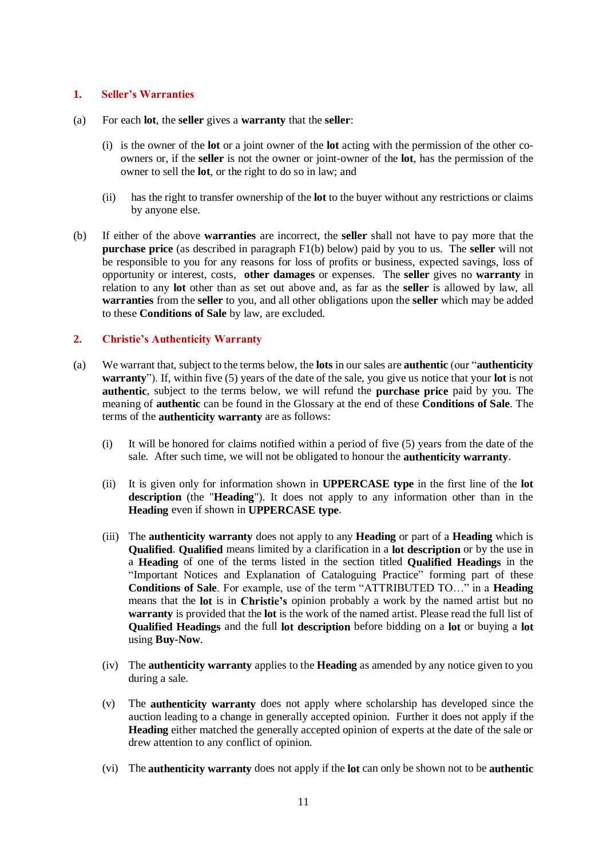## **1. Seller's Warranties**

- (a) For each **lot**, the **seller** gives a **warranty** that the **seller**:
	- (i) is the owner of the **lot** or a joint owner of the **lot** acting with the permission of the other coowners or, if the **seller** is not the owner or joint-owner of the **lot**, has the permission of the owner to sell the **lot**, or the right to do so in law; and
	- (ii) has the right to transfer ownership of the **lot** to the buyer without any restrictions or claims by anyone else.
- (b) If either of the above **warranties** are incorrect, the **seller** shall not have to pay more that the **purchase price** (as described in paragraph F1(b) below) paid by you to us. The **seller** will not be responsible to you for any reasons for loss of profits or business, expected savings, loss of opportunity or interest, costs, **other damages** or expenses. The **seller** gives no **warranty** in relation to any **lot** other than as set out above and, as far as the **seller** is allowed by law, all **warranties** from the **seller** to you, and all other obligations upon the **seller** which may be added to these **Conditions of Sale** by law, are excluded.

## **2. Christie's Authenticity Warranty**

- (a) We warrant that, subject to the terms below, the **lots** in our sales are **authentic** (our "**authenticity warranty**"). If, within five (5) years of the date of the sale, you give us notice that your **lot** is not **authentic**, subject to the terms below, we will refund the **purchase price** paid by you. The meaning of **authentic** can be found in the Glossary at the end of these **Conditions of Sale**. The terms of the **authenticity warranty** are as follows:
	- (i) It will be honored for claims notified within a period of five (5) years from the date of the sale. After such time, we will not be obligated to honour the **authenticity warranty**.
	- (ii) It is given only for information shown in **UPPERCASE type** in the first line of the **lot description** (the "**Heading**"). It does not apply to any information other than in the **Heading** even if shown in **UPPERCASE type**.
	- (iii) The **authenticity warranty** does not apply to any **Heading** or part of a **Heading** which is **Qualified**. **Qualified** means limited by a clarification in a **lot description** or by the use in a **Heading** of one of the terms listed in the section titled **Qualified Headings** in the "Important Notices and Explanation of Cataloguing Practice" forming part of these **Conditions of Sale**. For example, use of the term "ATTRIBUTED TO…" in a **Heading** means that the **lot** is in **Christie's** opinion probably a work by the named artist but no **warranty** is provided that the **lot** is the work of the named artist. Please read the full list of **Qualified Headings** and the full **lot description** before bidding on a **lot** or buying a **lot** using **Buy-Now**.
	- (iv) The **authenticity warranty** applies to the **Heading** as amended by any notice given to you during a sale.
	- (v) The **authenticity warranty** does not apply where scholarship has developed since the auction leading to a change in generally accepted opinion. Further it does not apply if the **Heading** either matched the generally accepted opinion of experts at the date of the sale or drew attention to any conflict of opinion.
	- (vi) The **authenticity warranty** does not apply if the **lot** can only be shown not to be **authentic**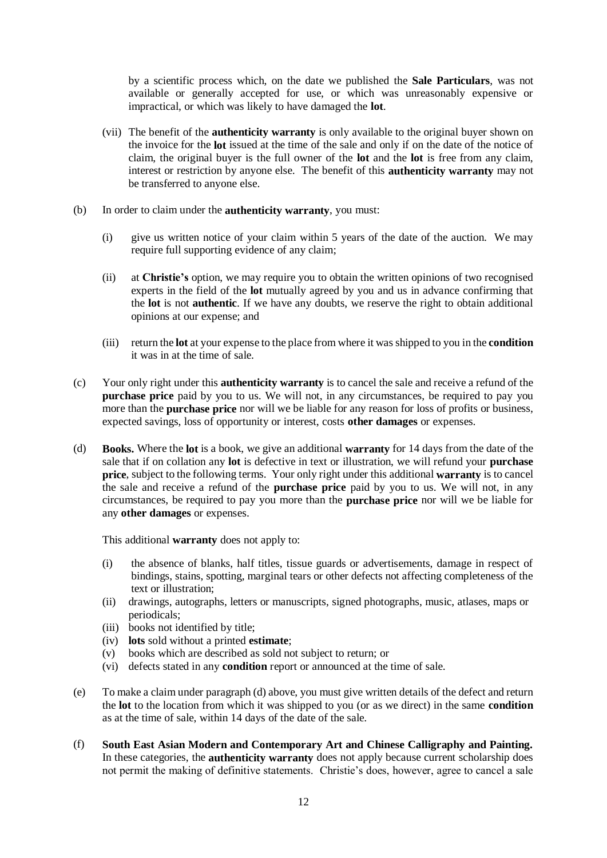by a scientific process which, on the date we published the **Sale Particulars**, was not available or generally accepted for use, or which was unreasonably expensive or impractical, or which was likely to have damaged the **lot**.

- (vii) The benefit of the **authenticity warranty** is only available to the original buyer shown on the invoice for the **lot** issued at the time of the sale and only if on the date of the notice of claim, the original buyer is the full owner of the **lot** and the **lot** is free from any claim, interest or restriction by anyone else. The benefit of this **authenticity warranty** may not be transferred to anyone else.
- (b) In order to claim under the **authenticity warranty**, you must:
	- (i) give us written notice of your claim within 5 years of the date of the auction. We may require full supporting evidence of any claim;
	- (ii) at **Christie's** option, we may require you to obtain the written opinions of two recognised experts in the field of the **lot** mutually agreed by you and us in advance confirming that the **lot** is not **authentic**. If we have any doubts, we reserve the right to obtain additional opinions at our expense; and
	- (iii) return the **lot** at your expense to the place from where it was shipped to you in the **condition** it was in at the time of sale.
- (c) Your only right under this **authenticity warranty** is to cancel the sale and receive a refund of the **purchase price** paid by you to us. We will not, in any circumstances, be required to pay you more than the **purchase price** nor will we be liable for any reason for loss of profits or business, expected savings, loss of opportunity or interest, costs **other damages** or expenses.
- (d) **Books.** Where the **lot** is a book, we give an additional **warranty** for 14 days from the date of the sale that if on collation any **lot** is defective in text or illustration, we will refund your **purchase price**, subject to the following terms. Your only right under this additional **warranty** is to cancel the sale and receive a refund of the **purchase price** paid by you to us. We will not, in any circumstances, be required to pay you more than the **purchase price** nor will we be liable for any **other damages** or expenses.

This additional **warranty** does not apply to:

- (i) the absence of blanks, half titles, tissue guards or advertisements, damage in respect of bindings, stains, spotting, marginal tears or other defects not affecting completeness of the text or illustration;
- (ii) drawings, autographs, letters or manuscripts, signed photographs, music, atlases, maps or periodicals;
- (iii) books not identified by title;
- (iv) **lots** sold without a printed **estimate**;
- (v) books which are described as sold not subject to return; or
- (vi) defects stated in any **condition** report or announced at the time of sale.
- (e) To make a claim under paragraph (d) above, you must give written details of the defect and return the **lot** to the location from which it was shipped to you (or as we direct) in the same **condition** as at the time of sale, within 14 days of the date of the sale.
- (f) **South East Asian Modern and Contemporary Art and Chinese Calligraphy and Painting.** In these categories, the **authenticity warranty** does not apply because current scholarship does not permit the making of definitive statements. Christie's does, however, agree to cancel a sale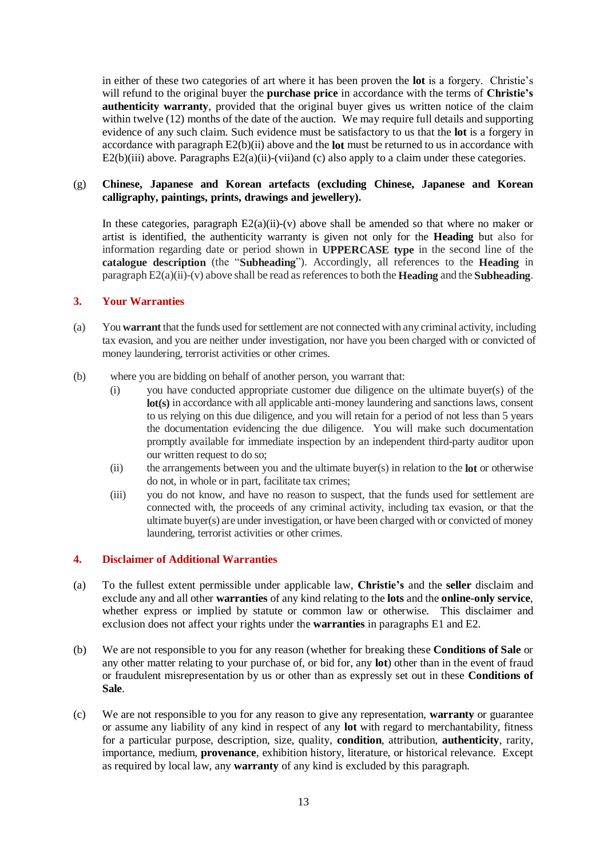in either of these two categories of art where it has been proven the **lot** is a forgery. Christie's will refund to the original buyer the **purchase price** in accordance with the terms of **Christie's authenticity warranty**, provided that the original buyer gives us written notice of the claim within twelve (12) months of the date of the auction. We may require full details and supporting evidence of any such claim. Such evidence must be satisfactory to us that the **lot** is a forgery in accordance with paragraph E2(b)(ii) above and the **lot** must be returned to us in accordance with  $E2(b)(iii)$  above. Paragraphs  $E2(a)(ii)-(vii)$  and (c) also apply to a claim under these categories.

# (g) **Chinese, Japanese and Korean artefacts (excluding Chinese, Japanese and Korean calligraphy, paintings, prints, drawings and jewellery).**

In these categories, paragraph  $E(2(a)(ii)-(v))$  above shall be amended so that where no maker or artist is identified, the authenticity warranty is given not only for the **Heading** but also for information regarding date or period shown in **UPPERCASE type** in the second line of the **catalogue description** (the "**Subheading**"). Accordingly, all references to the **Heading** in paragraph E2(a)(ii)-(v) above shall be read as references to both the **Heading** and the **Subheading**.

# **3. Your Warranties**

- (a) You **warrant** that the funds used for settlement are not connected with any criminal activity, including tax evasion, and you are neither under investigation, nor have you been charged with or convicted of money laundering, terrorist activities or other crimes.
- (b) where you are bidding on behalf of another person, you warrant that:
	- (i) you have conducted appropriate customer due diligence on the ultimate buyer(s) of the **lot(s)** in accordance with all applicable anti-money laundering and sanctions laws, consent to us relying on this due diligence, and you will retain for a period of not less than 5 years the documentation evidencing the due diligence. You will make such documentation promptly available for immediate inspection by an independent third-party auditor upon our written request to do so;
	- (ii) the arrangements between you and the ultimate buyer(s) in relation to the **lot** or otherwise do not, in whole or in part, facilitate tax crimes;
	- (iii) you do not know, and have no reason to suspect, that the funds used for settlement are connected with, the proceeds of any criminal activity, including tax evasion, or that the ultimate buyer(s) are under investigation, or have been charged with or convicted of money laundering, terrorist activities or other crimes.

## **4. Disclaimer of Additional Warranties**

- (a) To the fullest extent permissible under applicable law, **Christie's** and the **seller** disclaim and exclude any and all other **warranties** of any kind relating to the **lots** and the **online-only service**, whether express or implied by statute or common law or otherwise. This disclaimer and exclusion does not affect your rights under the **warranties** in paragraphs E1 and E2.
- (b) We are not responsible to you for any reason (whether for breaking these **Conditions of Sale** or any other matter relating to your purchase of, or bid for, any **lot**) other than in the event of fraud or fraudulent misrepresentation by us or other than as expressly set out in these **Conditions of Sale**.
- (c) We are not responsible to you for any reason to give any representation, **warranty** or guarantee or assume any liability of any kind in respect of any **lot** with regard to merchantability, fitness for a particular purpose, description, size, quality, **condition**, attribution, **authenticity**, rarity, importance, medium, **provenance**, exhibition history, literature, or historical relevance. Except as required by local law, any **warranty** of any kind is excluded by this paragraph.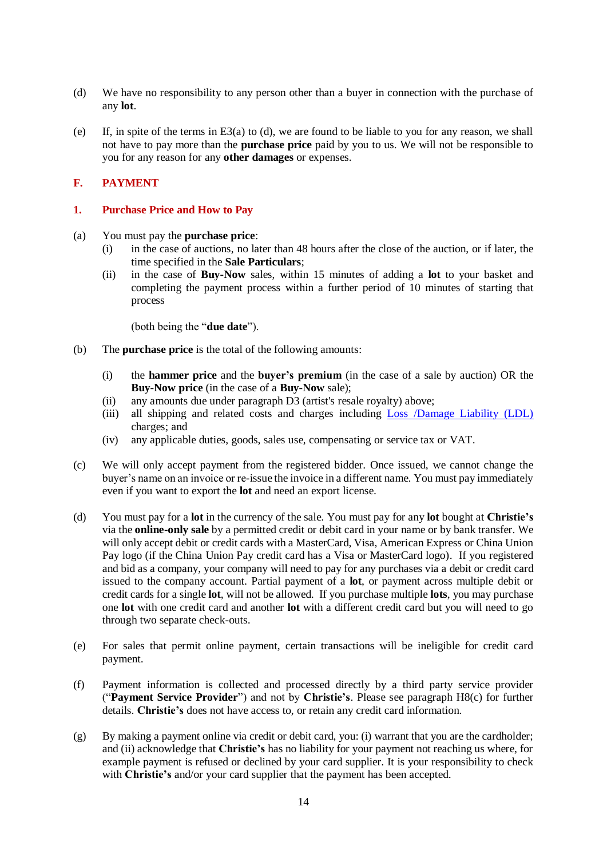- (d) We have no responsibility to any person other than a buyer in connection with the purchase of any **lot**.
- (e) If, in spite of the terms in E3(a) to (d), we are found to be liable to you for any reason, we shall not have to pay more than the **purchase price** paid by you to us. We will not be responsible to you for any reason for any **other damages** or expenses.

# **F. PAYMENT**

## **1. Purchase Price and How to Pay**

- (a) You must pay the **purchase price**:
	- (i) in the case of auctions, no later than 48 hours after the close of the auction, or if later, the time specified in the **Sale Particulars**;
	- (ii) in the case of **Buy-Now** sales, within 15 minutes of adding a **lot** to your basket and completing the payment process within a further period of 10 minutes of starting that process

(both being the "**due date**").

- (b) The **purchase price** is the total of the following amounts:
	- (i) the **hammer price** and the **buyer's premium** (in the case of a sale by auction) OR the **Buy-Now price** (in the case of a **Buy-Now** sale);
	- (ii) any amounts due under paragraph D3 (artist's resale royalty) above;
	- (iii) all shipping and related costs and charges including Loss /Damage [Liability \(LDL\)](http://www.christies.com/selling-services/selling-guide/financial-information/#Liability-Terms-Conditions) charges; and
	- (iv) any applicable duties, goods, sales use, compensating or service tax or VAT.
- (c) We will only accept payment from the registered bidder. Once issued, we cannot change the buyer's name on an invoice or re-issue the invoice in a different name. You must pay immediately even if you want to export the **lot** and need an export license.
- (d) You must pay for a **lot** in the currency of the sale. You must pay for any **lot** bought at **Christie's** via the **online-only sale** by a permitted credit or debit card in your name or by bank transfer. We will only accept debit or credit cards with a MasterCard, Visa, American Express or China Union Pay logo (if the China Union Pay credit card has a Visa or MasterCard logo). If you registered and bid as a company, your company will need to pay for any purchases via a debit or credit card issued to the company account. Partial payment of a **lot**, or payment across multiple debit or credit cards for a single **lot**, will not be allowed. If you purchase multiple **lots**, you may purchase one **lot** with one credit card and another **lot** with a different credit card but you will need to go through two separate check-outs.
- (e) For sales that permit online payment, certain transactions will be ineligible for credit card payment.
- (f) Payment information is collected and processed directly by a third party service provider ("**Payment Service Provider**") and not by **Christie's**. Please see paragraph H8(c) for further details. **Christie's** does not have access to, or retain any credit card information.
- (g) By making a payment online via credit or debit card, you: (i) warrant that you are the cardholder; and (ii) acknowledge that **Christie's** has no liability for your payment not reaching us where, for example payment is refused or declined by your card supplier. It is your responsibility to check with **Christie's** and/or your card supplier that the payment has been accepted.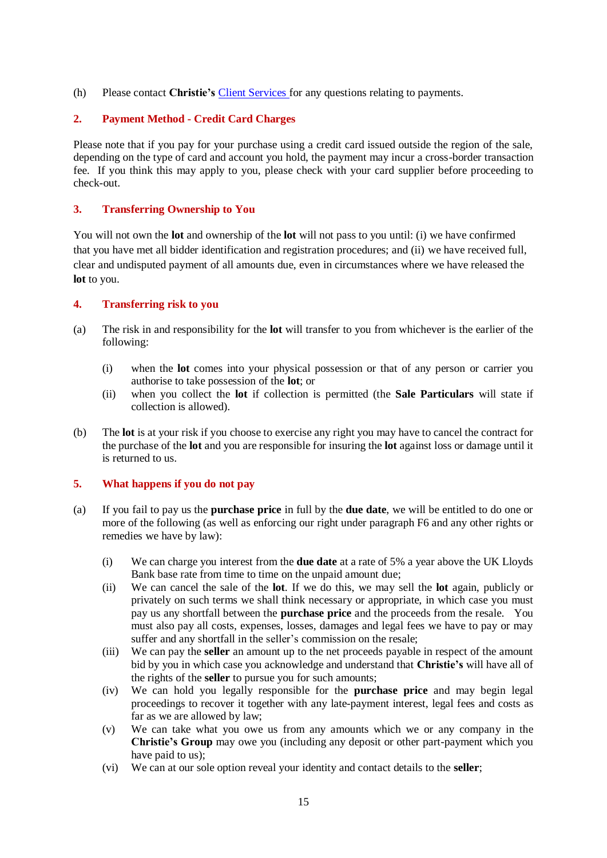(h) Please contact **Christie's** [Client Services](http://www.christies.com/about-us/contact/client-services/) for any questions relating to payments.

# **2. Payment Method - Credit Card Charges**

Please note that if you pay for your purchase using a credit card issued outside the region of the sale, depending on the type of card and account you hold, the payment may incur a cross-border transaction fee. If you think this may apply to you, please check with your card supplier before proceeding to check-out.

# **3. Transferring Ownership to You**

You will not own the **lot** and ownership of the **lot** will not pass to you until: (i) we have confirmed that you have met all bidder identification and registration procedures; and (ii) we have received full, clear and undisputed payment of all amounts due, even in circumstances where we have released the **lot** to you.

# **4. Transferring risk to you**

- (a) The risk in and responsibility for the **lot** will transfer to you from whichever is the earlier of the following:
	- (i) when the **lot** comes into your physical possession or that of any person or carrier you authorise to take possession of the **lot**; or
	- (ii) when you collect the **lot** if collection is permitted (the **Sale Particulars** will state if collection is allowed).
- (b) The **lot** is at your risk if you choose to exercise any right you may have to cancel the contract for the purchase of the **lot** and you are responsible for insuring the **lot** against loss or damage until it is returned to us.

## **5. What happens if you do not pay**

- (a) If you fail to pay us the **purchase price** in full by the **due date**, we will be entitled to do one or more of the following (as well as enforcing our right under paragraph F6 and any other rights or remedies we have by law):
	- (i) We can charge you interest from the **due date** at a rate of 5% a year above the UK Lloyds Bank base rate from time to time on the unpaid amount due;
	- (ii) We can cancel the sale of the **lot**. If we do this, we may sell the **lot** again, publicly or privately on such terms we shall think necessary or appropriate, in which case you must pay us any shortfall between the **purchase price** and the proceeds from the resale. You must also pay all costs, expenses, losses, damages and legal fees we have to pay or may suffer and any shortfall in the seller's commission on the resale;
	- (iii) We can pay the **seller** an amount up to the net proceeds payable in respect of the amount bid by you in which case you acknowledge and understand that **Christie's** will have all of the rights of the **seller** to pursue you for such amounts;
	- (iv) We can hold you legally responsible for the **purchase price** and may begin legal proceedings to recover it together with any late-payment interest, legal fees and costs as far as we are allowed by law;
	- (v) We can take what you owe us from any amounts which we or any company in the **Christie's Group** may owe you (including any deposit or other part-payment which you have paid to us):
	- (vi) We can at our sole option reveal your identity and contact details to the **seller**;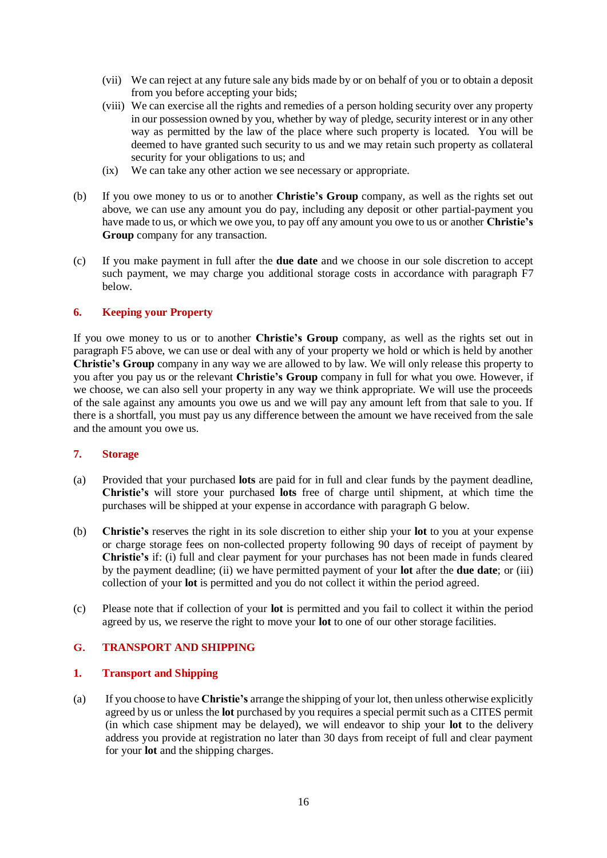- (vii) We can reject at any future sale any bids made by or on behalf of you or to obtain a deposit from you before accepting your bids;
- (viii) We can exercise all the rights and remedies of a person holding security over any property in our possession owned by you, whether by way of pledge, security interest or in any other way as permitted by the law of the place where such property is located. You will be deemed to have granted such security to us and we may retain such property as collateral security for your obligations to us; and
- (ix) We can take any other action we see necessary or appropriate.
- (b) If you owe money to us or to another **Christie's Group** company, as well as the rights set out above, we can use any amount you do pay, including any deposit or other partial-payment you have made to us, or which we owe you, to pay off any amount you owe to us or another **Christie's Group** company for any transaction.
- (c) If you make payment in full after the **due date** and we choose in our sole discretion to accept such payment, we may charge you additional storage costs in accordance with paragraph F7 below.

# **6. Keeping your Property**

If you owe money to us or to another **Christie's Group** company, as well as the rights set out in paragraph F5 above, we can use or deal with any of your property we hold or which is held by another **Christie's Group** company in any way we are allowed to by law. We will only release this property to you after you pay us or the relevant **Christie's Group** company in full for what you owe. However, if we choose, we can also sell your property in any way we think appropriate. We will use the proceeds of the sale against any amounts you owe us and we will pay any amount left from that sale to you. If there is a shortfall, you must pay us any difference between the amount we have received from the sale and the amount you owe us.

## **7. Storage**

- (a) Provided that your purchased **lots** are paid for in full and clear funds by the payment deadline, **Christie's** will store your purchased **lots** free of charge until shipment, at which time the purchases will be shipped at your expense in accordance with paragraph G below.
- (b) **Christie's** reserves the right in its sole discretion to either ship your **lot** to you at your expense or charge storage fees on non-collected property following 90 days of receipt of payment by **Christie's** if: (i) full and clear payment for your purchases has not been made in funds cleared by the payment deadline; (ii) we have permitted payment of your **lot** after the **due date**; or (iii) collection of your **lot** is permitted and you do not collect it within the period agreed.
- (c) Please note that if collection of your **lot** is permitted and you fail to collect it within the period agreed by us, we reserve the right to move your **lot** to one of our other storage facilities.

## **G. TRANSPORT AND SHIPPING**

## **1. Transport and Shipping**

(a) If you choose to have **Christie's** arrange the shipping of your lot, then unless otherwise explicitly agreed by us or unless the **lot** purchased by you requires a special permit such as a CITES permit (in which case shipment may be delayed), we will endeavor to ship your **lot** to the delivery address you provide at registration no later than 30 days from receipt of full and clear payment for your **lot** and the shipping charges.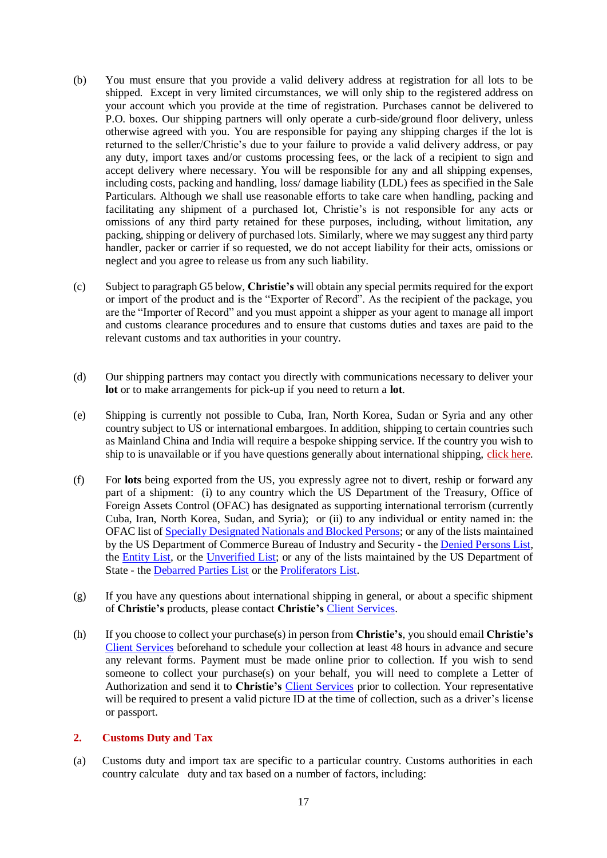- (b) You must ensure that you provide a valid delivery address at registration for all lots to be shipped. Except in very limited circumstances, we will only ship to the registered address on your account which you provide at the time of registration. Purchases cannot be delivered to P.O. boxes. Our shipping partners will only operate a curb-side/ground floor delivery, unless otherwise agreed with you. You are responsible for paying any shipping charges if the lot is returned to the seller/Christie's due to your failure to provide a valid delivery address, or pay any duty, import taxes and/or customs processing fees, or the lack of a recipient to sign and accept delivery where necessary. You will be responsible for any and all shipping expenses, including costs, packing and handling, loss/ [damage liability \(LDL\)](http://www.christies.com/selling-services/selling-guide/financial-information/#Liability-Terms-Conditions) fees as specified in the Sale Particulars. Although we shall use reasonable efforts to take care when handling, packing and facilitating any shipment of a purchased lot, Christie's is not responsible for any acts or omissions of any third party retained for these purposes, including, without limitation, any packing, shipping or delivery of purchased lots. Similarly, where we may suggest any third party handler, packer or carrier if so requested, we do not accept liability for their acts, omissions or neglect and you agree to release us from any such liability.
- (c) Subject to paragraph G5 below, **Christie's** will obtain any special permits required for the export or import of the product and is the "Exporter of Record". As the recipient of the package, you are the "Importer of Record" and you must appoint a shipper as your agent to manage all import and customs clearance procedures and to ensure that customs duties and taxes are paid to the relevant customs and tax authorities in your country.
- (d) Our shipping partners may contact you directly with communications necessary to deliver your **lot** or to make arrangements for pick-up if you need to return a **lot**.
- (e) Shipping is currently not possible to Cuba, Iran, North Korea, Sudan or Syria and any other country subject to US or international embargoes. In addition, shipping to certain countries such as Mainland China and India will require a bespoke shipping service. If the country you wish to ship to is unavailable or if you have questions generally about international shipping, [click here.](https://onlineonly.christies.com/contact-us)
- (f) For **lots** being exported from the US, you expressly agree not to divert, reship or forward any part of a shipment: (i) to any country which the US Department of the Treasury, Office of Foreign Assets Control (OFAC) has designated as supporting international terrorism (currently Cuba, Iran, North Korea, Sudan, and Syria); or (ii) to any individual or entity named in: the OFAC list of [Specially Designated Nationals and Blocked Persons;](http://www.treasury.gov/resource-center/sanctions/SDN-List/Pages/default.aspx) or any of the lists maintained by the US Department of Commerce Bureau of Industry and Security - the [Denied Persons List,](http://www.bis.doc.gov/index.php/the-denied-persons-list) the [Entity List,](http://www.bis.doc.gov/index.php/policy-guidance/lists-of-parties-of-concern/entity-list) or the [Unverified List;](http://www.bis.doc.gov/index.php/policy-guidance/lists-of-parties-of-concern/unverified-list) or any of the lists maintained by the US Department of State - the [Debarred Parties List](http://pmddtc.state.gov/compliance/debar.html) or the [Proliferators List.](http://www.treasury.gov/resource-center/sanctions/Programs/Documents/wmd.pdf)
- (g) If you have any questions about international shipping in general, or about a specific shipment of **Christie's** products, please contact **Christie's** [Client Services.](http://www.christies.com/about-us/contact/client-services/)
- (h) If you choose to collect your purchase(s) in person from **Christie's**, you should email **Christie's** [Client Services](http://www.christies.com/about-us/contact/client-services/) beforehand to schedule your collection at least 48 hours in advance and secure any relevant forms. Payment must be made online prior to collection. If you wish to send someone to collect your purchase(s) on your behalf, you will need to complete a Letter of Authorization and send it to **Christie's** [Client Services](http://www.christies.com/about-us/contact/client-services/) prior to collection. Your representative will be required to present a valid picture ID at the time of collection, such as a driver's license or passport.

## **2. Customs Duty and Tax**

(a) Customs duty and import tax are specific to a particular country. Customs authorities in each country calculate duty and tax based on a number of factors, including: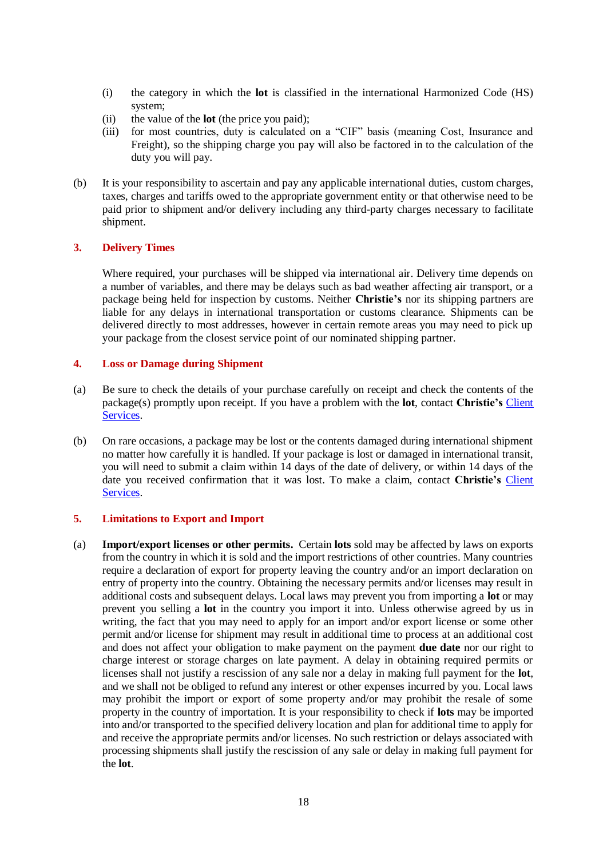- (i) the category in which the **lot** is classified in the international Harmonized Code (HS) system;
- (ii) the value of the **lot** (the price you paid);
- (iii) for most countries, duty is calculated on a "CIF" basis (meaning Cost, Insurance and Freight), so the shipping charge you pay will also be factored in to the calculation of the duty you will pay.
- (b) It is your responsibility to ascertain and pay any applicable international duties, custom charges, taxes, charges and tariffs owed to the appropriate government entity or that otherwise need to be paid prior to shipment and/or delivery including any third-party charges necessary to facilitate shipment.

# **3. Delivery Times**

Where required, your purchases will be shipped via international air. Delivery time depends on a number of variables, and there may be delays such as bad weather affecting air transport, or a package being held for inspection by customs. Neither **Christie's** nor its shipping partners are liable for any delays in international transportation or customs clearance. Shipments can be delivered directly to most addresses, however in certain remote areas you may need to pick up your package from the closest service point of our nominated shipping partner.

## **4. Loss or Damage during Shipment**

- (a) Be sure to check the details of your purchase carefully on receipt and check the contents of the package(s) promptly upon receipt. If you have a problem with the **lot**, contact **Christie's** [Client](http://www.christies.com/about-us/contact/client-services/)  [Services.](http://www.christies.com/about-us/contact/client-services/)
- (b) On rare occasions, a package may be lost or the contents damaged during international shipment no matter how carefully it is handled. If your package is lost or damaged in international transit, you will need to submit a claim within 14 days of the date of delivery, or within 14 days of the date you received confirmation that it was lost. To make a claim, contact **Christie's** [Client](http://www.christies.com/about-us/contact/client-services/)  [Services.](http://www.christies.com/about-us/contact/client-services/)

## **5. Limitations to Export and Import**

(a) **Import/export licenses or other permits.** Certain **lots** sold may be affected by laws on exports from the country in which it is sold and the import restrictions of other countries. Many countries require a declaration of export for property leaving the country and/or an import declaration on entry of property into the country. Obtaining the necessary permits and/or licenses may result in additional costs and subsequent delays. Local laws may prevent you from importing a **lot** or may prevent you selling a **lot** in the country you import it into. Unless otherwise agreed by us in writing, the fact that you may need to apply for an import and/or export license or some other permit and/or license for shipment may result in additional time to process at an additional cost and does not affect your obligation to make payment on the payment **due date** nor our right to charge interest or storage charges on late payment. A delay in obtaining required permits or licenses shall not justify a rescission of any sale nor a delay in making full payment for the **lot**, and we shall not be obliged to refund any interest or other expenses incurred by you. Local laws may prohibit the import or export of some property and/or may prohibit the resale of some property in the country of importation. It is your responsibility to check if **lots** may be imported into and/or transported to the specified delivery location and plan for additional time to apply for and receive the appropriate permits and/or licenses. No such restriction or delays associated with processing shipments shall justify the rescission of any sale or delay in making full payment for the **lot**.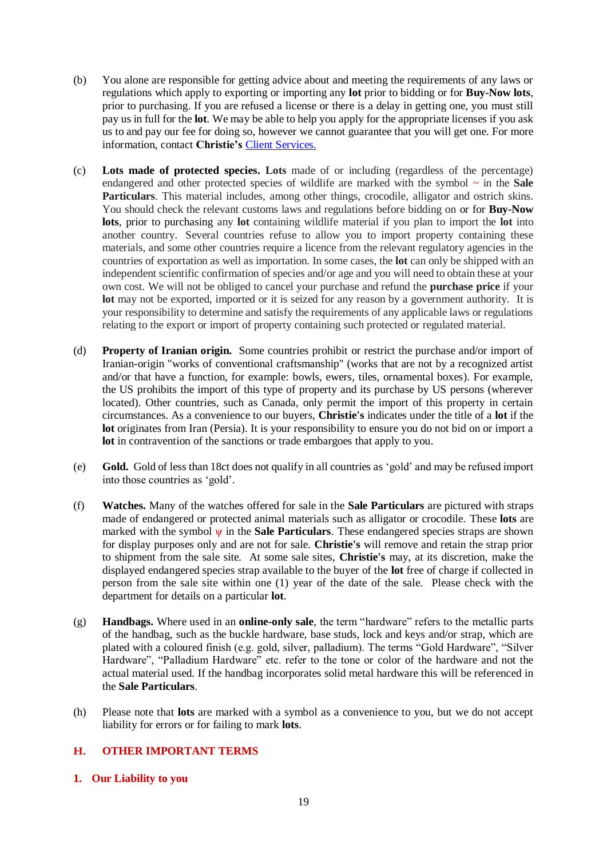- (b) You alone are responsible for getting advice about and meeting the requirements of any laws or regulations which apply to exporting or importing any **lot** prior to bidding or for **Buy-Now lots**, prior to purchasing. If you are refused a license or there is a delay in getting one, you must still pay us in full for the **lot**. We may be able to help you apply for the appropriate licenses if you ask us to and pay our fee for doing so, however we cannot guarantee that you will get one. For more information, contact **Christie's** [Client Services.](http://www.christies.com/about-us/contact/client-services/)
- (c) **Lots made of protected species. Lots** made of or including (regardless of the percentage) endangered and other protected species of wildlife are marked with the symbol **~** in the **Sale Particulars**. This material includes, among other things, crocodile, alligator and ostrich skins. You should check the relevant customs laws and regulations before bidding on or for **Buy-Now lots**, prior to purchasing any **lot** containing wildlife material if you plan to import the **lot** into another country. Several countries refuse to allow you to import property containing these materials, and some other countries require a licence from the relevant regulatory agencies in the countries of exportation as well as importation. In some cases, the **lot** can only be shipped with an independent scientific confirmation of species and/or age and you will need to obtain these at your own cost. We will not be obliged to cancel your purchase and refund the **purchase price** if your lot may not be exported, imported or it is seized for any reason by a government authority. It is your responsibility to determine and satisfy the requirements of any applicable laws or regulations relating to the export or import of property containing such protected or regulated material.
- (d) **Property of Iranian origin.** Some countries prohibit or restrict the purchase and/or import of Iranian-origin "works of conventional craftsmanship" (works that are not by a recognized artist and/or that have a function, for example: bowls, ewers, tiles, ornamental boxes). For example, the US prohibits the import of this type of property and its purchase by US persons (wherever located). Other countries, such as Canada, only permit the import of this property in certain circumstances. As a convenience to our buyers, **Christie's** indicates under the title of a **lot** if the **lot** originates from Iran (Persia). It is your responsibility to ensure you do not bid on or import a **lot** in contravention of the sanctions or trade embargoes that apply to you.
- (e) **Gold.** Gold of less than 18ct does not qualify in all countries as 'gold' and may be refused import into those countries as 'gold'.
- (f) **Watches.** Many of the watches offered for sale in the **Sale Particulars** are pictured with straps made of endangered or protected animal materials such as alligator or crocodile. These **lots** are marked with the symbol ψ in the **Sale Particulars**. These endangered species straps are shown for display purposes only and are not for sale. **Christie's** will remove and retain the strap prior to shipment from the sale site. At some sale sites, **Christie's** may, at its discretion, make the displayed endangered species strap available to the buyer of the **lot** free of charge if collected in person from the sale site within one (1) year of the date of the sale. Please check with the department for details on a particular **lot**.
- (g) **Handbags.** Where used in an **online-only sale**, the term "hardware" refers to the metallic parts of the handbag, such as the buckle hardware, base studs, lock and keys and/or strap, which are plated with a coloured finish (e.g. gold, silver, palladium). The terms "Gold Hardware", "Silver Hardware", "Palladium Hardware" etc. refer to the tone or color of the hardware and not the actual material used. If the handbag incorporates solid metal hardware this will be referenced in the **Sale Particulars**.
- (h) Please note that **lots** are marked with a symbol as a convenience to you, but we do not accept liability for errors or for failing to mark **lots**.

# **H. OTHER IMPORTANT TERMS**

**1. Our Liability to you**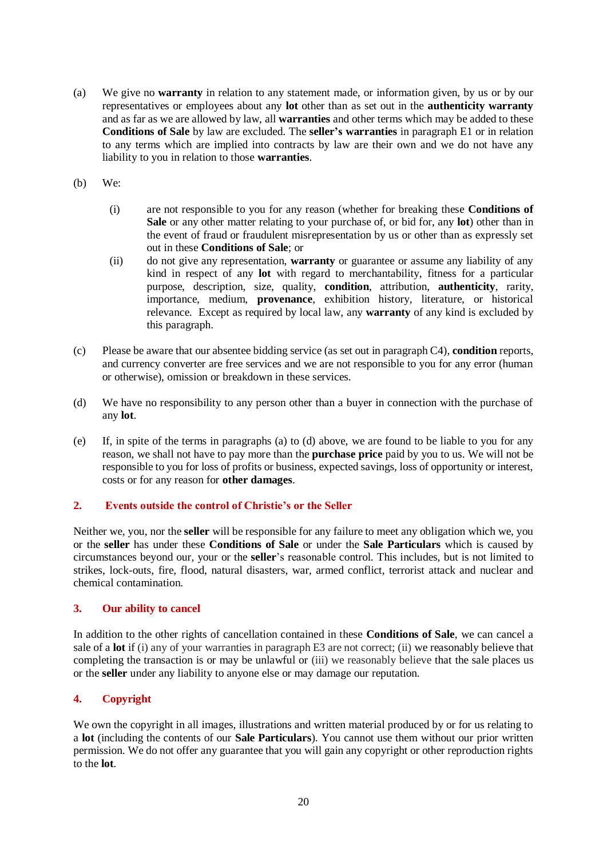- (a) We give no **warranty** in relation to any statement made, or information given, by us or by our representatives or employees about any **lot** other than as set out in the **authenticity warranty**  and as far as we are allowed by law, all **warranties** and other terms which may be added to these **Conditions of Sale** by law are excluded. The **seller's warranties** in paragraph E1 or in relation to any terms which are implied into contracts by law are their own and we do not have any liability to you in relation to those **warranties**.
- (b) We:
	- (i) are not responsible to you for any reason (whether for breaking these **Conditions of Sale** or any other matter relating to your purchase of, or bid for, any **lot**) other than in the event of fraud or fraudulent misrepresentation by us or other than as expressly set out in these **Conditions of Sale**; or
	- (ii) do not give any representation, **warranty** or guarantee or assume any liability of any kind in respect of any **lot** with regard to merchantability, fitness for a particular purpose, description, size, quality, **condition**, attribution, **authenticity**, rarity, importance, medium, **provenance**, exhibition history, literature, or historical relevance. Except as required by local law, any **warranty** of any kind is excluded by this paragraph.
- (c) Please be aware that our absentee bidding service (as set out in paragraph C4), **condition** reports, and currency converter are free services and we are not responsible to you for any error (human or otherwise), omission or breakdown in these services.
- (d) We have no responsibility to any person other than a buyer in connection with the purchase of any **lot**.
- (e) If, in spite of the terms in paragraphs (a) to (d) above, we are found to be liable to you for any reason, we shall not have to pay more than the **purchase price** paid by you to us. We will not be responsible to you for loss of profits or business, expected savings, loss of opportunity or interest, costs or for any reason for **other damages**.

# **2. Events outside the control of Christie's or the Seller**

Neither we, you, nor the **seller** will be responsible for any failure to meet any obligation which we, you or the **seller** has under these **Conditions of Sale** or under the **Sale Particulars** which is caused by circumstances beyond our, your or the **seller**'s reasonable control. This includes, but is not limited to strikes, lock-outs, fire, flood, natural disasters, war, armed conflict, terrorist attack and nuclear and chemical contamination.

## **3. Our ability to cancel**

In addition to the other rights of cancellation contained in these **Conditions of Sale**, we can cancel a sale of a **lot** if (i) any of your warranties in paragraph E3 are not correct; (ii) we reasonably believe that completing the transaction is or may be unlawful or (iii) we reasonably believe that the sale places us or the **seller** under any liability to anyone else or may damage our reputation.

# **4. Copyright**

We own the copyright in all images, illustrations and written material produced by or for us relating to a **lot** (including the contents of our **Sale Particulars**). You cannot use them without our prior written permission. We do not offer any guarantee that you will gain any copyright or other reproduction rights to the **lot**.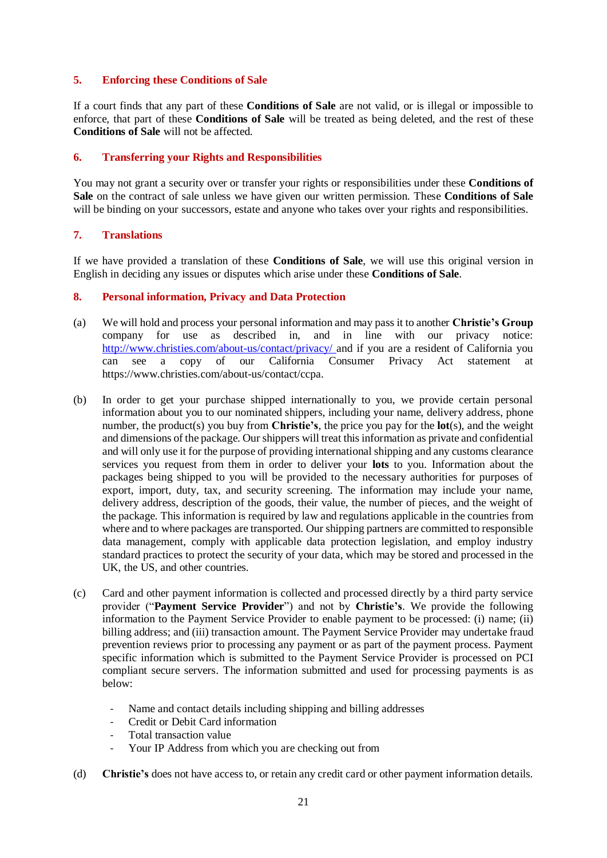# **5. Enforcing these Conditions of Sale**

If a court finds that any part of these **Conditions of Sale** are not valid, or is illegal or impossible to enforce, that part of these **Conditions of Sale** will be treated as being deleted, and the rest of these **Conditions of Sale** will not be affected.

# **6. Transferring your Rights and Responsibilities**

You may not grant a security over or transfer your rights or responsibilities under these **Conditions of Sale** on the contract of sale unless we have given our written permission. These **Conditions of Sale** will be binding on your successors, estate and anyone who takes over your rights and responsibilities.

# **7. Translations**

If we have provided a translation of these **Conditions of Sale**, we will use this original version in English in deciding any issues or disputes which arise under these **Conditions of Sale**.

# **8. Personal information, Privacy and Data Protection**

- (a) We will hold and process your personal information and may pass it to another **Christie's Group**  company for use as described in, and in line with our privacy notice: <http://www.christies.com/about-us/contact/privacy/> and if you are a resident of California you can see a copy of our California Consumer Privacy Act statement at [https://www.christies.com/about-us/contact/ccpa.](https://www.christies.com/about-us/contact/ccpa)
- (b) In order to get your purchase shipped internationally to you, we provide certain personal information about you to our nominated shippers, including your name, delivery address, phone number, the product(s) you buy from **Christie's**, the price you pay for the **lot**(s), and the weight and dimensions of the package. Our shippers will treat this information as private and confidential and will only use it for the purpose of providing international shipping and any customs clearance services you request from them in order to deliver your **lots** to you. Information about the packages being shipped to you will be provided to the necessary authorities for purposes of export, import, duty, tax, and security screening. The information may include your name, delivery address, description of the goods, their value, the number of pieces, and the weight of the package. This information is required by law and regulations applicable in the countries from where and to where packages are transported. Our shipping partners are committed to responsible data management, comply with applicable data protection legislation, and employ industry standard practices to protect the security of your data, which may be stored and processed in the UK, the US, and other countries.
- (c) Card and other payment information is collected and processed directly by a third party service provider ("**Payment Service Provider**") and not by **Christie's**. We provide the following information to the Payment Service Provider to enable payment to be processed: (i) name; (ii) billing address; and (iii) transaction amount. The Payment Service Provider may undertake fraud prevention reviews prior to processing any payment or as part of the payment process. Payment specific information which is submitted to the Payment Service Provider is processed on PCI compliant secure servers. The information submitted and used for processing payments is as below:
	- Name and contact details including shipping and billing addresses
	- Credit or Debit Card information
	- Total transaction value
	- Your IP Address from which you are checking out from
- (d) **Christie's** does not have access to, or retain any credit card or other payment information details.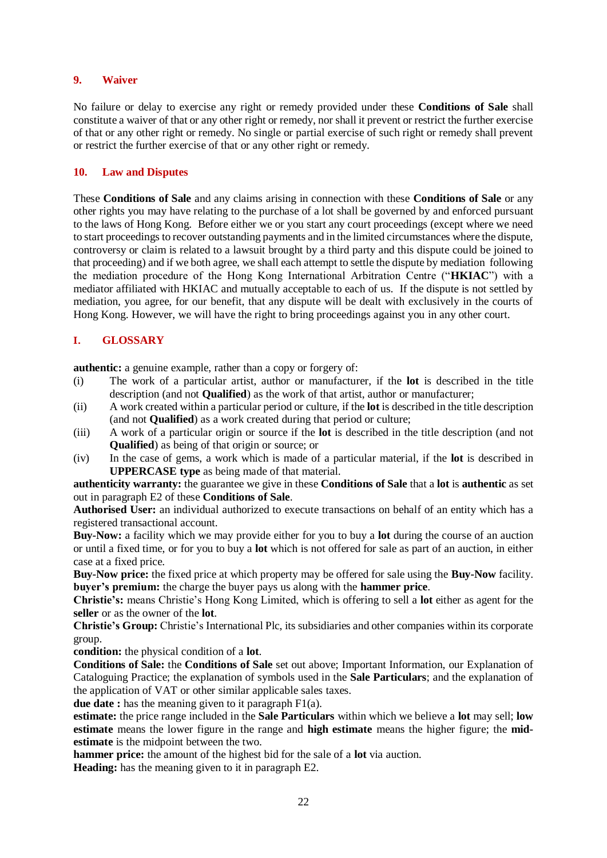# **9. Waiver**

No failure or delay to exercise any right or remedy provided under these **Conditions of Sale** shall constitute a waiver of that or any other right or remedy, nor shall it prevent or restrict the further exercise of that or any other right or remedy. No single or partial exercise of such right or remedy shall prevent or restrict the further exercise of that or any other right or remedy.

# **10. Law and Disputes**

These **Conditions of Sale** and any claims arising in connection with these **Conditions of Sale** or any other rights you may have relating to the purchase of a lot shall be governed by and enforced pursuant to the laws of Hong Kong. Before either we or you start any court proceedings (except where we need to start proceedings to recover outstanding payments and in the limited circumstances where the dispute, controversy or claim is related to a lawsuit brought by a third party and this dispute could be joined to that proceeding) and if we both agree, we shall each attempt to settle the dispute by mediation following the mediation procedure of the Hong Kong International Arbitration Centre ("**HKIAC**") with a mediator affiliated with HKIAC and mutually acceptable to each of us. If the dispute is not settled by mediation, you agree, for our benefit, that any dispute will be dealt with exclusively in the courts of Hong Kong. However, we will have the right to bring proceedings against you in any other court.

# **I. GLOSSARY**

**authentic:** a genuine example, rather than a copy or forgery of:

- (i) The work of a particular artist, author or manufacturer, if the **lot** is described in the title description (and not **Qualified**) as the work of that artist, author or manufacturer;
- (ii) A work created within a particular period or culture, if the **lot** is described in the title description (and not **Qualified**) as a work created during that period or culture;
- (iii) A work of a particular origin or source if the **lot** is described in the title description (and not **Qualified**) as being of that origin or source; or
- (iv) In the case of gems, a work which is made of a particular material, if the **lot** is described in **UPPERCASE type** as being made of that material.

# **authenticity warranty:** the guarantee we give in these **Conditions of Sale** that a **lot** is **authentic** as set out in paragraph E2 of these **Conditions of Sale**.

**Authorised User:** an individual authorized to execute transactions on behalf of an entity which has a registered transactional account.

**Buy-Now:** a facility which we may provide either for you to buy a **lot** during the course of an auction or until a fixed time, or for you to buy a **lot** which is not offered for sale as part of an auction, in either case at a fixed price.

**Buy-Now price:** the fixed price at which property may be offered for sale using the **Buy-Now** facility. **buyer's premium:** the charge the buyer pays us along with the **hammer price**.

**Christie's:** means Christie's Hong Kong Limited, which is offering to sell a **lot** either as agent for the **seller** or as the owner of the **lot**.

**Christie's Group:** Christie's International Plc, its subsidiaries and other companies within its corporate group.

**condition:** the physical condition of a **lot**.

**Conditions of Sale:** the **Conditions of Sale** set out above; Important Information, our Explanation of Cataloguing Practice; the explanation of symbols used in the **Sale Particulars**; and the explanation of the application of VAT or other similar applicable sales taxes.

**due date :** has the meaning given to it paragraph F1(a).

**estimate:** the price range included in the **Sale Particulars** within which we believe a **lot** may sell; **low estimate** means the lower figure in the range and **high estimate** means the higher figure; the **midestimate** is the midpoint between the two.

**hammer price:** the amount of the highest bid for the sale of a **lot** via auction.

**Heading:** has the meaning given to it in paragraph E2.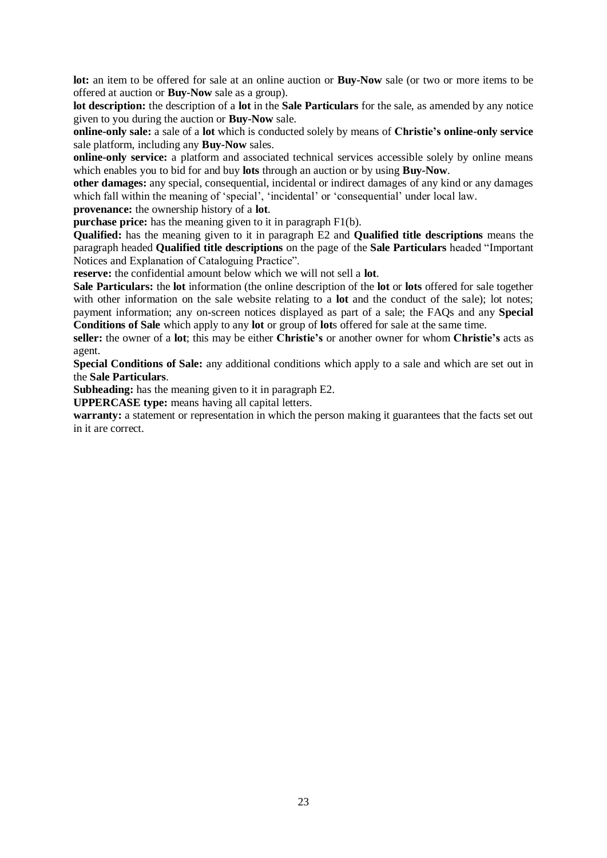**lot:** an item to be offered for sale at an online auction or **Buy-Now** sale (or two or more items to be offered at auction or **Buy-Now** sale as a group).

**lot description:** the description of a **lot** in the **Sale Particulars** for the sale, as amended by any notice given to you during the auction or **Buy-Now** sale.

**online-only sale:** a sale of a **lot** which is conducted solely by means of **Christie's online-only service** sale platform, including any **Buy-Now** sales.

**online-only service:** a platform and associated technical services accessible solely by online means which enables you to bid for and buy **lots** through an auction or by using **Buy-Now**.

**other damages:** any special, consequential, incidental or indirect damages of any kind or any damages which fall within the meaning of 'special', 'incidental' or 'consequential' under local law.

**provenance:** the ownership history of a **lot**.

**purchase price:** has the meaning given to it in paragraph F1(b).

**Qualified:** has the meaning given to it in paragraph E2 and **Qualified title descriptions** means the paragraph headed **Qualified title descriptions** on the page of the **Sale Particulars** headed "Important Notices and Explanation of Cataloguing Practice".

**reserve:** the confidential amount below which we will not sell a **lot**.

**Sale Particulars:** the **lot** information (the online description of the **lot** or **lots** offered for sale together with other information on the sale website relating to a **lot** and the conduct of the sale); lot notes; payment information; any on-screen notices displayed as part of a sale; the FAQs and any **Special Conditions of Sale** which apply to any **lot** or group of **lot**s offered for sale at the same time.

**seller:** the owner of a **lot**; this may be either **Christie's** or another owner for whom **Christie's** acts as agent.

**Special Conditions of Sale:** any additional conditions which apply to a sale and which are set out in the **Sale Particulars**.

**Subheading:** has the meaning given to it in paragraph E2.

**UPPERCASE type:** means having all capital letters.

**warranty:** a statement or representation in which the person making it guarantees that the facts set out in it are correct.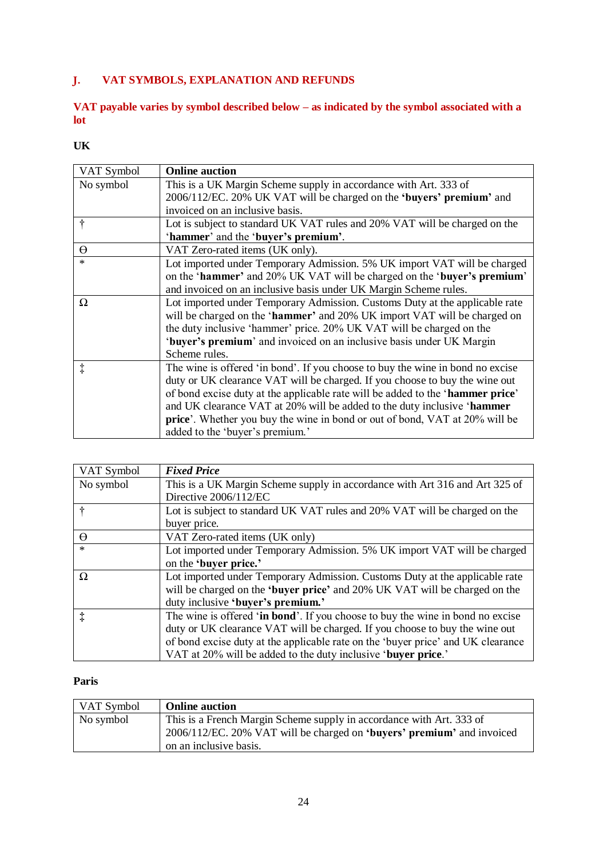# **J. VAT SYMBOLS, EXPLANATION AND REFUNDS**

# **VAT payable varies by symbol described below – as indicated by the symbol associated with a lot**

# **UK**

| VAT Symbol | <b>Online auction</b>                                                               |
|------------|-------------------------------------------------------------------------------------|
| No symbol  | This is a UK Margin Scheme supply in accordance with Art. 333 of                    |
|            | 2006/112/EC. 20% UK VAT will be charged on the 'buyers' premium' and                |
|            | invoiced on an inclusive basis.                                                     |
| ÷          | Lot is subject to standard UK VAT rules and 20% VAT will be charged on the          |
|            | 'hammer' and the 'buyer's premium'.                                                 |
| $\Theta$   | VAT Zero-rated items (UK only).                                                     |
| *          | Lot imported under Temporary Admission. 5% UK import VAT will be charged            |
|            | on the 'hammer' and 20% UK VAT will be charged on the 'buyer's premium'             |
|            | and invoiced on an inclusive basis under UK Margin Scheme rules.                    |
| Ω          | Lot imported under Temporary Admission. Customs Duty at the applicable rate         |
|            | will be charged on the 'hammer' and 20% UK import VAT will be charged on            |
|            | the duty inclusive 'hammer' price. 20% UK VAT will be charged on the                |
|            | 'buyer's premium' and invoiced on an inclusive basis under UK Margin                |
|            | Scheme rules.                                                                       |
| $\ddagger$ | The wine is offered 'in bond'. If you choose to buy the wine in bond no excise      |
|            | duty or UK clearance VAT will be charged. If you choose to buy the wine out         |
|            | of bond excise duty at the applicable rate will be added to the 'hammer price'      |
|            | and UK clearance VAT at 20% will be added to the duty inclusive 'hammer             |
|            | <b>price</b> '. Whether you buy the wine in bond or out of bond, VAT at 20% will be |
|            | added to the 'buyer's premium.'                                                     |

| VAT Symbol | <b>Fixed Price</b>                                                               |
|------------|----------------------------------------------------------------------------------|
| No symbol  | This is a UK Margin Scheme supply in accordance with Art 316 and Art 325 of      |
|            | Directive 2006/112/EC                                                            |
|            | Lot is subject to standard UK VAT rules and 20% VAT will be charged on the       |
|            | buyer price.                                                                     |
| $\Theta$   | VAT Zero-rated items (UK only)                                                   |
| $\ast$     | Lot imported under Temporary Admission. 5% UK import VAT will be charged         |
|            | on the 'buyer price.'                                                            |
| $\Omega$   | Lot imported under Temporary Admission. Customs Duty at the applicable rate      |
|            | will be charged on the 'buyer price' and 20% UK VAT will be charged on the       |
|            | duty inclusive 'buyer's premium.'                                                |
| ţ          | The wine is offered 'in bond'. If you choose to buy the wine in bond no excise   |
|            | duty or UK clearance VAT will be charged. If you choose to buy the wine out      |
|            | of bond excise duty at the applicable rate on the 'buyer price' and UK clearance |
|            | VAT at 20% will be added to the duty inclusive 'buyer price.'                    |

# **Paris**

| VAT Symbol | <b>Online auction</b>                                                  |
|------------|------------------------------------------------------------------------|
| No symbol  | This is a French Margin Scheme supply in accordance with Art. 333 of   |
|            | 2006/112/EC. 20% VAT will be charged on 'buyers' premium' and invoiced |
|            | on an inclusive basis.                                                 |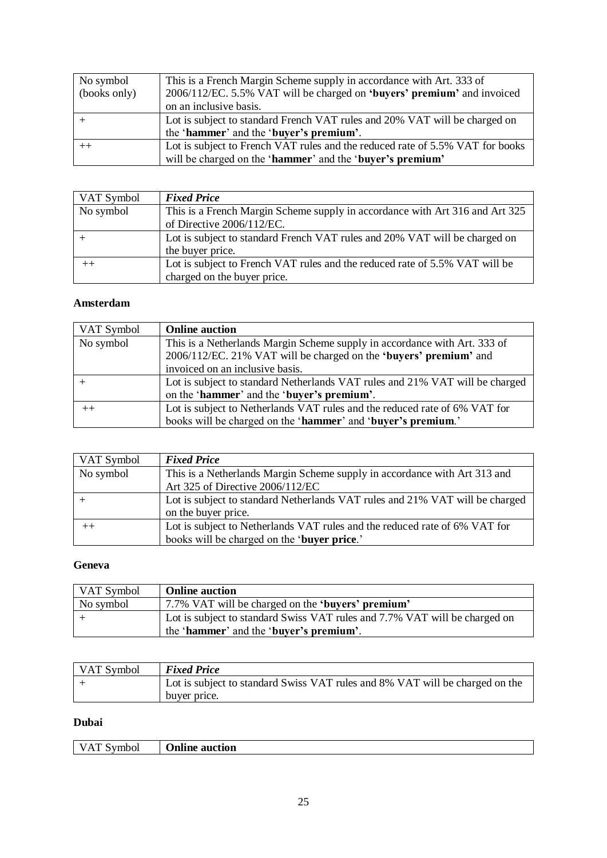| No symbol    | This is a French Margin Scheme supply in accordance with Art. 333 of          |
|--------------|-------------------------------------------------------------------------------|
| (books only) | 2006/112/EC. 5.5% VAT will be charged on 'buyers' premium' and invoiced       |
|              | on an inclusive basis.                                                        |
|              | Lot is subject to standard French VAT rules and 20% VAT will be charged on    |
|              | the 'hammer' and the 'buyer's premium'.                                       |
|              | Lot is subject to French VAT rules and the reduced rate of 5.5% VAT for books |
|              | will be charged on the 'hammer' and the 'buyer's premium'                     |

| VAT Symbol | <b>Fixed Price</b>                                                           |
|------------|------------------------------------------------------------------------------|
| No symbol  | This is a French Margin Scheme supply in accordance with Art 316 and Art 325 |
|            | of Directive 2006/112/EC.                                                    |
|            | Lot is subject to standard French VAT rules and 20% VAT will be charged on   |
|            | the buyer price.                                                             |
| $^{++}$    | Lot is subject to French VAT rules and the reduced rate of 5.5% VAT will be  |
|            | charged on the buyer price.                                                  |

# **Amsterdam**

| VAT Symbol | <b>Online auction</b>                                                                                                                                                             |
|------------|-----------------------------------------------------------------------------------------------------------------------------------------------------------------------------------|
| No symbol  | This is a Netherlands Margin Scheme supply in accordance with Art. 333 of<br>2006/112/EC. 21% VAT will be charged on the 'buyers' premium' and<br>invoiced on an inclusive basis. |
|            | Lot is subject to standard Netherlands VAT rules and 21% VAT will be charged<br>on the 'hammer' and the 'buyer's premium'.                                                        |
| $^{++}$    | Lot is subject to Netherlands VAT rules and the reduced rate of 6% VAT for<br>books will be charged on the 'hammer' and 'buyer's premium.'                                        |

| VAT Symbol | <b>Fixed Price</b>                                                                                                        |
|------------|---------------------------------------------------------------------------------------------------------------------------|
| No symbol  | This is a Netherlands Margin Scheme supply in accordance with Art 313 and<br>Art 325 of Directive 2006/112/EC             |
|            | Lot is subject to standard Netherlands VAT rules and 21% VAT will be charged<br>on the buyer price.                       |
|            | Lot is subject to Netherlands VAT rules and the reduced rate of 6% VAT for<br>books will be charged on the 'buyer price.' |

# **Geneva**

| VAT Symbol | <b>Online auction</b>                                                      |
|------------|----------------------------------------------------------------------------|
| No symbol  | 7.7% VAT will be charged on the <b>'buyers' premium'</b>                   |
|            | Lot is subject to standard Swiss VAT rules and 7.7% VAT will be charged on |
|            | the 'hammer' and the 'buyer's premium'.                                    |

| VAT Symbol | <b>Fixed Price</b>                                                           |
|------------|------------------------------------------------------------------------------|
|            | Lot is subject to standard Swiss VAT rules and 8% VAT will be charged on the |
|            | buyer price.                                                                 |

# **Dubai**

| ---- | $\mathbf{m}$ and $\mathbf{r}$ |
|------|-------------------------------|
| נשי  | люп                           |
| .    | яш                            |
|      |                               |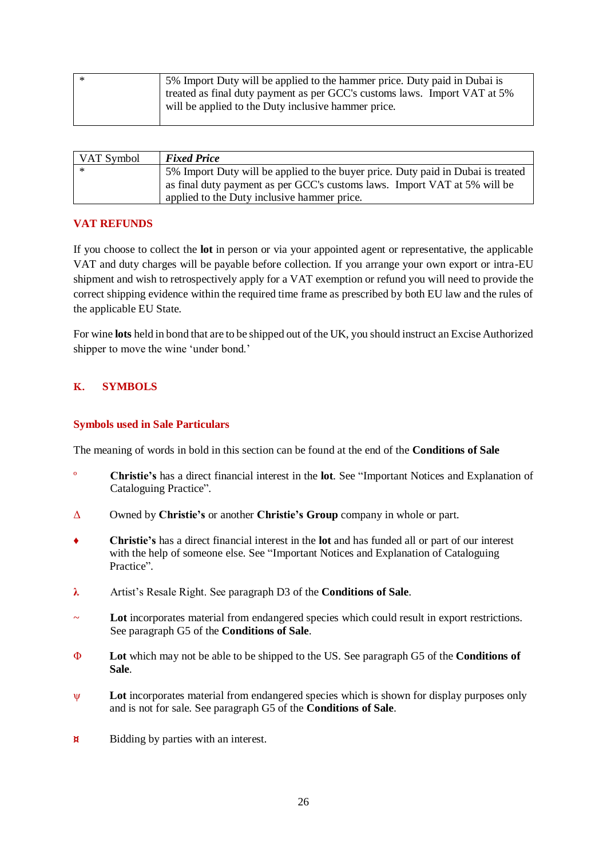| - * | 5% Import Duty will be applied to the hammer price. Duty paid in Dubai is |
|-----|---------------------------------------------------------------------------|
|     | treated as final duty payment as per GCC's customs laws. Import VAT at 5% |
|     | will be applied to the Duty inclusive hammer price.                       |
|     |                                                                           |

| VAT Symbol | <b>Fixed Price</b>                                                                                                                                                                                           |
|------------|--------------------------------------------------------------------------------------------------------------------------------------------------------------------------------------------------------------|
|            | 5% Import Duty will be applied to the buyer price. Duty paid in Dubai is treated<br>as final duty payment as per GCC's customs laws. Import VAT at 5% will be<br>applied to the Duty inclusive hammer price. |

# **VAT REFUNDS**

If you choose to collect the **lot** in person or via your appointed agent or representative, the applicable VAT and duty charges will be payable before collection. If you arrange your own export or intra-EU shipment and wish to retrospectively apply for a VAT exemption or refund you will need to provide the correct shipping evidence within the required time frame as prescribed by both EU law and the rules of the applicable EU State.

For wine **lots** held in bond that are to be shipped out of the UK, you should instruct an Excise Authorized shipper to move the wine 'under bond.'

# **K. SYMBOLS**

# **Symbols used in Sale Particulars**

The meaning of words in bold in this section can be found at the end of the **Conditions of Sale**

- º **Christie's** has a direct financial interest in the **lot**. See "Important Notices and Explanation of Cataloguing Practice".
- Δ Owned by **Christie's** or another **Christie's Group** company in whole or part.
- ♦ **Christie's** has a direct financial interest in the **lot** and has funded all or part of our interest with the help of someone else. See "Important Notices and Explanation of Cataloguing Practice".
- **λ** Artist's Resale Right. See paragraph D3 of the **Conditions of Sale**.
- Lot incorporates material from endangered species which could result in export restrictions. See paragraph G5 of the **Conditions of Sale**.
- Φ **Lot** which may not be able to be shipped to the US. See paragraph G5 of the **Conditions of Sale**.
- ψ **Lot** incorporates material from endangered species which is shown for display purposes only and is not for sale. See paragraph G5 of the **Conditions of Sale**.
- $\uparrow$  **<b>Bidding by parties with an interest.**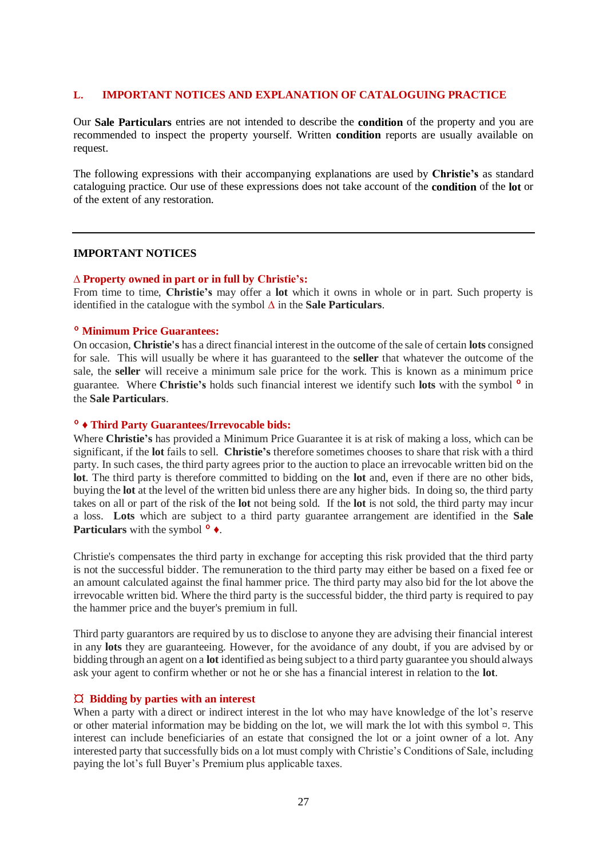## **L. IMPORTANT NOTICES AND EXPLANATION OF CATALOGUING PRACTICE**

Our **Sale Particulars** entries are not intended to describe the **condition** of the property and you are recommended to inspect the property yourself. Written **condition** reports are usually available on request.

The following expressions with their accompanying explanations are used by **Christie's** as standard cataloguing practice. Our use of these expressions does not take account of the **condition** of the **lot** or of the extent of any restoration.

#### **IMPORTANT NOTICES**

#### **∆ Property owned in part or in full by Christie's:**

From time to time, **Christie's** may offer a **lot** which it owns in whole or in part. Such property is identified in the catalogue with the symbol **∆** in the **Sale Particulars**.

# º **Minimum Price Guarantees:**

On occasion, **Christie's** has a direct financial interest in the outcome of the sale of certain **lots** consigned for sale. This will usually be where it has guaranteed to the **seller** that whatever the outcome of the sale, the **seller** will receive a minimum sale price for the work. This is known as a minimum price guarantee. Where **Christie's** holds such financial interest we identify such **lots** with the symbol º in the **Sale Particulars**.

#### º **♦ Third Party Guarantees/Irrevocable bids:**

Where **Christie's** has provided a Minimum Price Guarantee it is at risk of making a loss, which can be significant, if the **lot** fails to sell. **Christie's** therefore sometimes chooses to share that risk with a third party. In such cases, the third party agrees prior to the auction to place an irrevocable written bid on the **lot**. The third party is therefore committed to bidding on the **lot** and, even if there are no other bids, buying the **lot** at the level of the written bid unless there are any higher bids. In doing so, the third party takes on all or part of the risk of the **lot** not being sold. If the **lot** is not sold, the third party may incur a loss. **Lots** which are subject to a third party guarantee arrangement are identified in the **Sale Particulars** with the symbol <sup> $^{\circ}$  ♦.</sup>

Christie's compensates the third party in exchange for accepting this risk provided that the third party is not the successful bidder. The remuneration to the third party may either be based on a fixed fee or an amount calculated against the final hammer price. The third party may also bid for the lot above the irrevocable written bid. Where the third party is the successful bidder, the third party is required to pay the hammer price and the buyer's premium in full.

Third party guarantors are required by us to disclose to anyone they are advising their financial interest in any **lots** they are guaranteeing. However, for the avoidance of any doubt, if you are advised by or bidding through an agent on a **lot** identified as being subject to a third party guarantee you should always ask your agent to confirm whether or not he or she has a financial interest in relation to the **lot**.

## ¤ **Bidding by parties with an interest**

When a party with a direct or indirect interest in the lot who may have knowledge of the lot's reserve or other material information may be bidding on the lot, we will mark the lot with this symbol  $\alpha$ . This interest can include beneficiaries of an estate that consigned the lot or a joint owner of a lot. Any interested party that successfully bids on a lot must comply with Christie's Conditions of Sale, including paying the lot's full Buyer's Premium plus applicable taxes.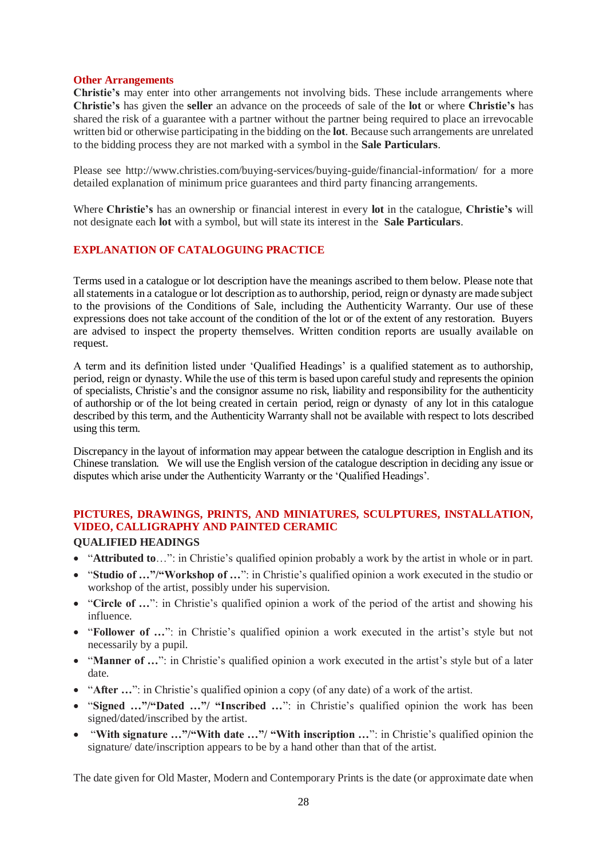#### **Other Arrangements**

**Christie's** may enter into other arrangements not involving bids. These include arrangements where **Christie's** has given the **seller** an advance on the proceeds of sale of the **lot** or where **Christie's** has shared the risk of a guarantee with a partner without the partner being required to place an irrevocable written bid or otherwise participating in the bidding on the **lot**. Because such arrangements are unrelated to the bidding process they are not marked with a symbol in the **Sale Particulars**.

Please see http://www.christies.com/buying-services/buying-guide/financial-information/ for a more detailed explanation of minimum price guarantees and third party financing arrangements.

Where **Christie's** has an ownership or financial interest in every **lot** in the catalogue, **Christie's** will not designate each **lot** with a symbol, but will state its interest in the **Sale Particulars**.

# **EXPLANATION OF CATALOGUING PRACTICE**

Terms used in a catalogue or lot description have the meanings ascribed to them below. Please note that all statements in a catalogue or lot description as to authorship, period, reign or dynasty are made subject to the provisions of the Conditions of Sale, including the Authenticity Warranty. Our use of these expressions does not take account of the condition of the lot or of the extent of any restoration. Buyers are advised to inspect the property themselves. Written condition reports are usually available on request.

A term and its definition listed under 'Qualified Headings' is a qualified statement as to authorship, period, reign or dynasty. While the use of this term is based upon careful study and represents the opinion of specialists, Christie's and the consignor assume no risk, liability and responsibility for the authenticity of authorship or of the lot being created in certain period, reign or dynasty of any lot in this catalogue described by this term, and the Authenticity Warranty shall not be available with respect to lots described using this term.

Discrepancy in the layout of information may appear between the catalogue description in English and its Chinese translation. We will use the English version of the catalogue description in deciding any issue or disputes which arise under the Authenticity Warranty or the 'Qualified Headings'.

# **PICTURES, DRAWINGS, PRINTS, AND MINIATURES, SCULPTURES, INSTALLATION, VIDEO, CALLIGRAPHY AND PAINTED CERAMIC**

# **QUALIFIED HEADINGS**

- "**Attributed to**…": in Christie's qualified opinion probably a work by the artist in whole or in part.
- "**Studio of …"/"Workshop of …**": in Christie's qualified opinion a work executed in the studio or workshop of the artist, possibly under his supervision.
- "**Circle of …**": in Christie's qualified opinion a work of the period of the artist and showing his influence.
- "**Follower of …**": in Christie's qualified opinion a work executed in the artist's style but not necessarily by a pupil.
- "**Manner of …**": in Christie's qualified opinion a work executed in the artist's style but of a later date.
- "After ...": in Christie's qualified opinion a copy (of any date) of a work of the artist.
- "**Signed …"/"Dated …"/ "Inscribed …**": in Christie's qualified opinion the work has been signed/dated/inscribed by the artist.
- "**With signature …"/"With date …"/ "With inscription …**": in Christie's qualified opinion the signature/ date/inscription appears to be by a hand other than that of the artist.

The date given for Old Master, Modern and Contemporary Prints is the date (or approximate date when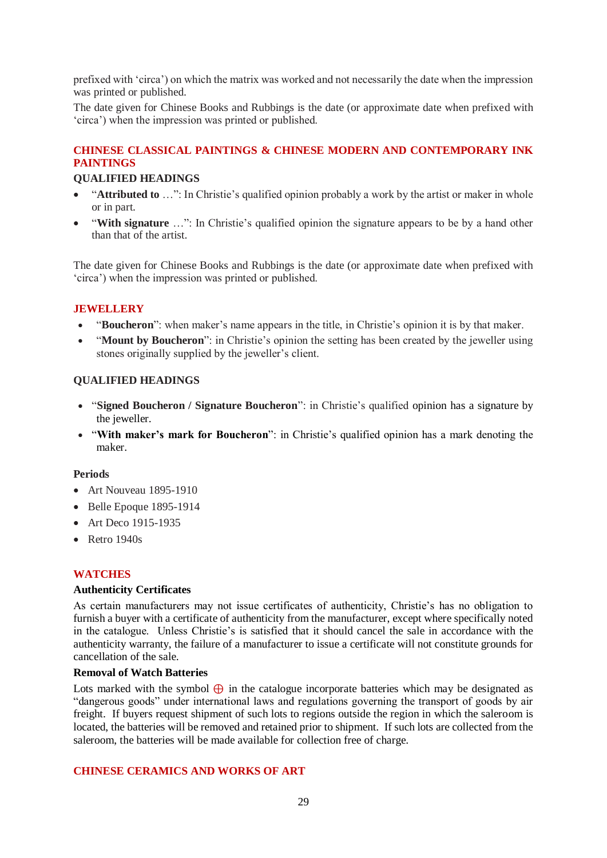prefixed with 'circa') on which the matrix was worked and not necessarily the date when the impression was printed or published.

The date given for Chinese Books and Rubbings is the date (or approximate date when prefixed with 'circa') when the impression was printed or published.

# **CHINESE CLASSICAL PAINTINGS & CHINESE MODERN AND CONTEMPORARY INK PAINTINGS**

## **QUALIFIED HEADINGS**

- "**Attributed to** …": In Christie's qualified opinion probably a work by the artist or maker in whole or in part.
- "**With signature** …": In Christie's qualified opinion the signature appears to be by a hand other than that of the artist.

The date given for Chinese Books and Rubbings is the date (or approximate date when prefixed with 'circa') when the impression was printed or published.

# **JEWELLERY**

- "**Boucheron**": when maker's name appears in the title, in Christie's opinion it is by that maker.
- "**Mount by Boucheron**": in Christie's opinion the setting has been created by the jeweller using stones originally supplied by the jeweller's client.

# **QUALIFIED HEADINGS**

- "**Signed Boucheron / Signature Boucheron**": in Christie's qualified opinion has a signature by the jeweller.
- "**With maker's mark for Boucheron**": in Christie's qualified opinion has a mark denoting the maker.

## **Periods**

- Art Nouveau 1895-1910
- Belle Epoque 1895-1914
- Art Deco 1915-1935
- Retro 1940s

## **WATCHES**

## **Authenticity Certificates**

As certain manufacturers may not issue certificates of authenticity, Christie's has no obligation to furnish a buyer with a certificate of authenticity from the manufacturer, except where specifically noted in the catalogue. Unless Christie's is satisfied that it should cancel the sale in accordance with the authenticity warranty, the failure of a manufacturer to issue a certificate will not constitute grounds for cancellation of the sale.

## **Removal of Watch Batteries**

Lots marked with the symbol  $\bigoplus$  in the catalogue incorporate batteries which may be designated as "dangerous goods" under international laws and regulations governing the transport of goods by air freight. If buyers request shipment of such lots to regions outside the region in which the saleroom is located, the batteries will be removed and retained prior to shipment. If such lots are collected from the saleroom, the batteries will be made available for collection free of charge.

## **CHINESE CERAMICS AND WORKS OF ART**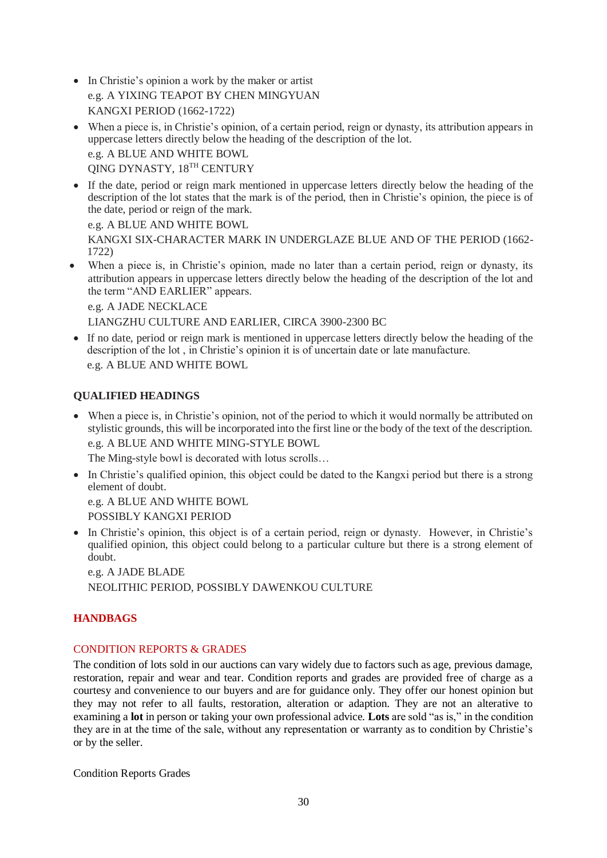- In Christie's opinion a work by the maker or artist e.g. A YIXING TEAPOT BY CHEN MINGYUAN KANGXI PERIOD (1662-1722)
- When a piece is, in Christie's opinion, of a certain period, reign or dynasty, its attribution appears in uppercase letters directly below the heading of the description of the lot. e.g. A BLUE AND WHITE BOWL

QING DYNASTY, 18TH CENTURY

• If the date, period or reign mark mentioned in uppercase letters directly below the heading of the description of the lot states that the mark is of the period, then in Christie's opinion, the piece is of the date, period or reign of the mark.

e.g. A BLUE AND WHITE BOWL KANGXI SIX-CHARACTER MARK IN UNDERGLAZE BLUE AND OF THE PERIOD (1662- 1722)

When a piece is, in Christie's opinion, made no later than a certain period, reign or dynasty, its attribution appears in uppercase letters directly below the heading of the description of the lot and the term "AND EARLIER" appears.

e.g. A JADE NECKLACE

LIANGZHU CULTURE AND EARLIER, CIRCA 3900-2300 BC

• If no date, period or reign mark is mentioned in uppercase letters directly below the heading of the description of the lot , in Christie's opinion it is of uncertain date or late manufacture. e.g. A BLUE AND WHITE BOWL

# **QUALIFIED HEADINGS**

• When a piece is, in Christie's opinion, not of the period to which it would normally be attributed on stylistic grounds, this will be incorporated into the first line or the body of the text of the description. e.g. A BLUE AND WHITE MING-STYLE BOWL

The Ming-style bowl is decorated with lotus scrolls…

• In Christie's qualified opinion, this object could be dated to the Kangxi period but there is a strong element of doubt.

e.g. A BLUE AND WHITE BOWL POSSIBLY KANGXI PERIOD

• In Christie's opinion, this object is of a certain period, reign or dynasty. However, in Christie's qualified opinion, this object could belong to a particular culture but there is a strong element of doubt.

e.g. A JADE BLADE NEOLITHIC PERIOD, POSSIBLY DAWENKOU CULTURE

# **HANDBAGS**

# CONDITION REPORTS & GRADES

The condition of lots sold in our auctions can vary widely due to factors such as age, previous damage, restoration, repair and wear and tear. Condition reports and grades are provided free of charge as a courtesy and convenience to our buyers and are for guidance only. They offer our honest opinion but they may not refer to all faults, restoration, alteration or adaption. They are not an alterative to examining a **lot** in person or taking your own professional advice. **Lots** are sold "as is," in the condition they are in at the time of the sale, without any representation or warranty as to condition by Christie's or by the seller.

Condition Reports Grades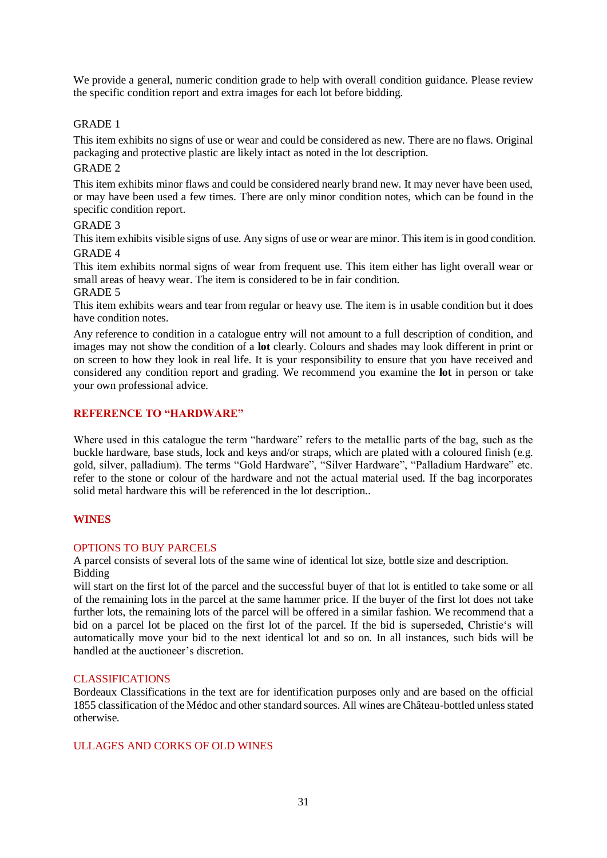We provide a general, numeric condition grade to help with overall condition guidance. Please review the specific condition report and extra images for each lot before bidding.

## GRADE 1

This item exhibits no signs of use or wear and could be considered as new. There are no flaws. Original packaging and protective plastic are likely intact as noted in the lot description.

## GRADE 2

This item exhibits minor flaws and could be considered nearly brand new. It may never have been used, or may have been used a few times. There are only minor condition notes, which can be found in the specific condition report.

#### GRADE 3

This item exhibits visible signs of use. Any signs of use or wear are minor. This item is in good condition. GRADE 4

This item exhibits normal signs of wear from frequent use. This item either has light overall wear or small areas of heavy wear. The item is considered to be in fair condition.

GRADE 5

This item exhibits wears and tear from regular or heavy use. The item is in usable condition but it does have condition notes.

Any reference to condition in a catalogue entry will not amount to a full description of condition, and images may not show the condition of a **lot** clearly. Colours and shades may look different in print or on screen to how they look in real life. It is your responsibility to ensure that you have received and considered any condition report and grading. We recommend you examine the **lot** in person or take your own professional advice.

## **REFERENCE TO "HARDWARE"**

Where used in this catalogue the term "hardware" refers to the metallic parts of the bag, such as the buckle hardware, base studs, lock and keys and/or straps, which are plated with a coloured finish (e.g. gold, silver, palladium). The terms "Gold Hardware", "Silver Hardware", "Palladium Hardware" etc. refer to the stone or colour of the hardware and not the actual material used. If the bag incorporates solid metal hardware this will be referenced in the lot description..

# **WINES**

#### OPTIONS TO BUY PARCELS

A parcel consists of several lots of the same wine of identical lot size, bottle size and description. Bidding

will start on the first lot of the parcel and the successful buyer of that lot is entitled to take some or all of the remaining lots in the parcel at the same hammer price. If the buyer of the first lot does not take further lots, the remaining lots of the parcel will be offered in a similar fashion. We recommend that a bid on a parcel lot be placed on the first lot of the parcel. If the bid is superseded, Christie's will automatically move your bid to the next identical lot and so on. In all instances, such bids will be handled at the auctioneer's discretion.

#### CLASSIFICATIONS

Bordeaux Classifications in the text are for identification purposes only and are based on the official 1855 classification of the Médoc and other standard sources. All wines are Château-bottled unless stated otherwise.

#### ULLAGES AND CORKS OF OLD WINES